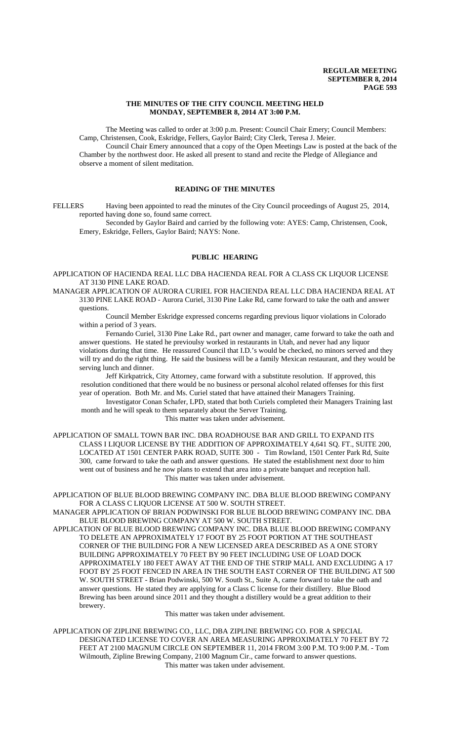## **THE MINUTES OF THE CITY COUNCIL MEETING HELD MONDAY, SEPTEMBER 8, 2014 AT 3:00 P.M.**

The Meeting was called to order at 3:00 p.m. Present: Council Chair Emery; Council Members: Camp, Christensen, Cook, Eskridge, Fellers, Gaylor Baird; City Clerk, Teresa J. Meier.

Council Chair Emery announced that a copy of the Open Meetings Law is posted at the back of the Chamber by the northwest door. He asked all present to stand and recite the Pledge of Allegiance and observe a moment of silent meditation.

## **READING OF THE MINUTES**

FELLERS Having been appointed to read the minutes of the City Council proceedings of August 25, 2014, reported having done so, found same correct.

Seconded by Gaylor Baird and carried by the following vote: AYES: Camp, Christensen, Cook, Emery, Eskridge, Fellers, Gaylor Baird; NAYS: None.

## **PUBLIC HEARING**

APPLICATION OF HACIENDA REAL LLC DBA HACIENDA REAL FOR A CLASS CK LIQUOR LICENSE AT 3130 PINE LAKE ROAD.

MANAGER APPLICATION OF AURORA CURIEL FOR HACIENDA REAL LLC DBA HACIENDA REAL AT 3130 PINE LAKE ROAD - Aurora Curiel, 3130 Pine Lake Rd, came forward to take the oath and answer questions.

Council Member Eskridge expressed concerns regarding previous liquor violations in Colorado within a period of 3 years.

Fernando Curiel, 3130 Pine Lake Rd., part owner and manager, came forward to take the oath and answer questions. He stated he previoulsy worked in restaurants in Utah, and never had any liquor violations during that time. He reassured Council that I.D.'s would be checked, no minors served and they will try and do the right thing. He said the business will be a family Mexican restaurant, and they would be serving lunch and dinner.

Jeff Kirkpatrick, City Attorney, came forward with a substitute resolution. If approved, this resolution conditioned that there would be no business or personal alcohol related offenses for this first year of operation. Both Mr. and Ms. Curiel stated that have attained their Managers Training.

Investigator Conan Schafer, LPD, stated that both Curiels completed their Managers Training last month and he will speak to them separately about the Server Training.

This matter was taken under advisement.

APPLICATION OF SMALL TOWN BAR INC. DBA ROADHOUSE BAR AND GRILL TO EXPAND ITS CLASS I LIQUOR LICENSE BY THE ADDITION OF APPROXIMATELY 4,641 SQ. FT., SUITE 200, LOCATED AT 1501 CENTER PARK ROAD, SUITE 300 - Tim Rowland, 1501 Center Park Rd, Suite 300, came forward to take the oath and answer questions. He stated the establishment next door to him went out of business and he now plans to extend that area into a private banquet and reception hall. This matter was taken under advisement.

APPLICATION OF BLUE BLOOD BREWING COMPANY INC. DBA BLUE BLOOD BREWING COMPANY FOR A CLASS C LIQUOR LICENSE AT 500 W. SOUTH STREET.

MANAGER APPLICATION OF BRIAN PODWINSKI FOR BLUE BLOOD BREWING COMPANY INC. DBA BLUE BLOOD BREWING COMPANY AT 500 W. SOUTH STREET.

APPLICATION OF BLUE BLOOD BREWING COMPANY INC. DBA BLUE BLOOD BREWING COMPANY TO DELETE AN APPROXIMATELY 17 FOOT BY 25 FOOT PORTION AT THE SOUTHEAST CORNER OF THE BUILDING FOR A NEW LICENSED AREA DESCRIBED AS A ONE STORY BUILDING APPROXIMATELY 70 FEET BY 90 FEET INCLUDING USE OF LOAD DOCK APPROXIMATELY 180 FEET AWAY AT THE END OF THE STRIP MALL AND EXCLUDING A 17 FOOT BY 25 FOOT FENCED IN AREA IN THE SOUTH EAST CORNER OF THE BUILDING AT 500 W. SOUTH STREET - Brian Podwinski, 500 W. South St., Suite A, came forward to take the oath and answer questions. He stated they are applying for a Class C license for their distillery. Blue Blood Brewing has been around since 2011 and they thought a distillery would be a great addition to their brewery.

This matter was taken under advisement.

APPLICATION OF ZIPLINE BREWING CO., LLC, DBA ZIPLINE BREWING CO. FOR A SPECIAL DESIGNATED LICENSE TO COVER AN AREA MEASURING APPROXIMATELY 70 FEET BY 72 FEET AT 2100 MAGNUM CIRCLE ON SEPTEMBER 11, 2014 FROM 3:00 P.M. TO 9:00 P.M. - Tom Wilmouth, Zipline Brewing Company, 2100 Magnum Cir., came forward to answer questions. This matter was taken under advisement.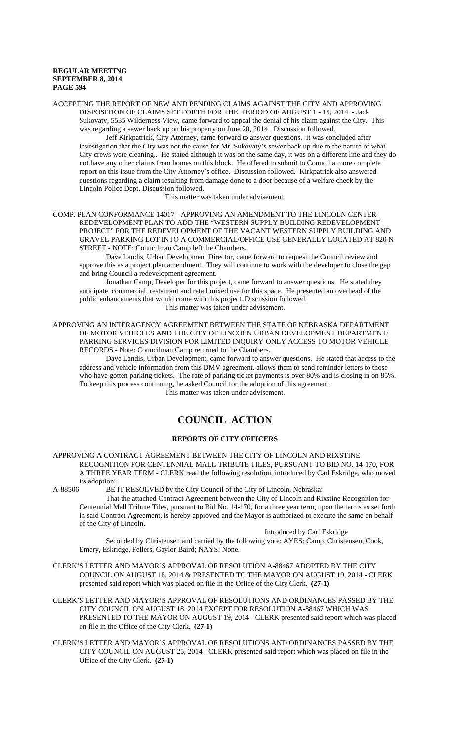ACCEPTING THE REPORT OF NEW AND PENDING CLAIMS AGAINST THE CITY AND APPROVING DISPOSITION OF CLAIMS SET FORTH FOR THE PERIOD OF AUGUST 1 - 15, 2014 - Jack Sukovaty, 5535 Wilderness View, came forward to appeal the denial of his claim against the City. This was regarding a sewer back up on his property on June 20, 2014. Discussion followed.

Jeff Kirkpatrick, City Attorney, came forward to answer questions. It was concluded after investigation that the City was not the cause for Mr. Sukovaty's sewer back up due to the nature of what City crews were cleaning.. He stated although it was on the same day, it was on a different line and they do not have any other claims from homes on this block. He offered to submit to Council a more complete report on this issue from the City Attorney's office. Discussion followed. Kirkpatrick also answered questions regarding a claim resulting from damage done to a door because of a welfare check by the Lincoln Police Dept. Discussion followed.

This matter was taken under advisement.

COMP. PLAN CONFORMANCE 14017 - APPROVING AN AMENDMENT TO THE LINCOLN CENTER REDEVELOPMENT PLAN TO ADD THE "WESTERN SUPPLY BUILDING REDEVELOPMENT PROJECT" FOR THE REDEVELOPMENT OF THE VACANT WESTERN SUPPLY BUILDING AND GRAVEL PARKING LOT INTO A COMMERCIAL/OFFICE USE GENERALLY LOCATED AT 820 N STREET - NOTE: Councilman Camp left the Chambers.

Dave Landis, Urban Development Director, came forward to request the Council review and approve this as a project plan amendment. They will continue to work with the developer to close the gap and bring Council a redevelopment agreement.

Jonathan Camp, Developer for this project, came forward to answer questions. He stated they anticipate commercial, restaurant and retail mixed use for this space. He presented an overhead of the public enhancements that would come with this project. Discussion followed.

This matter was taken under advisement.

APPROVING AN INTERAGENCY AGREEMENT BETWEEN THE STATE OF NEBRASKA DEPARTMENT OF MOTOR VEHICLES AND THE CITY OF LINCOLN URBAN DEVELOPMENT DEPARTMENT/ PARKING SERVICES DIVISION FOR LIMITED INQUIRY-ONLY ACCESS TO MOTOR VEHICLE RECORDS - Note: Councilman Camp returned to the Chambers.

Dave Landis, Urban Development, came forward to answer questions. He stated that access to the address and vehicle information from this DMV agreement, allows them to send reminder letters to those who have gotten parking tickets. The rate of parking ticket payments is over 80% and is closing in on 85%. To keep this process continuing, he asked Council for the adoption of this agreement.

This matter was taken under advisement.

# **COUNCIL ACTION**

## **REPORTS OF CITY OFFICERS**

APPROVING A CONTRACT AGREEMENT BETWEEN THE CITY OF LINCOLN AND RIXSTINE RECOGNITION FOR CENTENNIAL MALL TRIBUTE TILES, PURSUANT TO BID NO. 14-170, FOR A THREE YEAR TERM - CLERK read the following resolution, introduced by Carl Eskridge, who moved its adoption:<br>A-88506 BE

BE IT RESOLVED by the City Council of the City of Lincoln, Nebraska:

That the attached Contract Agreement between the City of Lincoln and Rixstine Recognition for Centennial Mall Tribute Tiles, pursuant to Bid No. 14-170, for a three year term, upon the terms as set forth in said Contract Agreement, is hereby approved and the Mayor is authorized to execute the same on behalf of the City of Lincoln.

Introduced by Carl Eskridge

Seconded by Christensen and carried by the following vote: AYES: Camp, Christensen, Cook, Emery, Eskridge, Fellers, Gaylor Baird; NAYS: None.

- CLERK'S LETTER AND MAYOR'S APPROVAL OF RESOLUTION A-88467 ADOPTED BY THE CITY COUNCIL ON AUGUST 18, 2014 & PRESENTED TO THE MAYOR ON AUGUST 19, 2014 - CLERK presented said report which was placed on file in the Office of the City Clerk. **(27-1)**
- CLERK'S LETTER AND MAYOR'S APPROVAL OF RESOLUTIONS AND ORDINANCES PASSED BY THE CITY COUNCIL ON AUGUST 18, 2014 EXCEPT FOR RESOLUTION A-88467 WHICH WAS PRESENTED TO THE MAYOR ON AUGUST 19, 2014 - CLERK presented said report which was placed on file in the Office of the City Clerk. **(27-1)**
- CLERK'S LETTER AND MAYOR'S APPROVAL OF RESOLUTIONS AND ORDINANCES PASSED BY THE CITY COUNCIL ON AUGUST 25, 2014 - CLERK presented said report which was placed on file in the Office of the City Clerk. **(27-1)**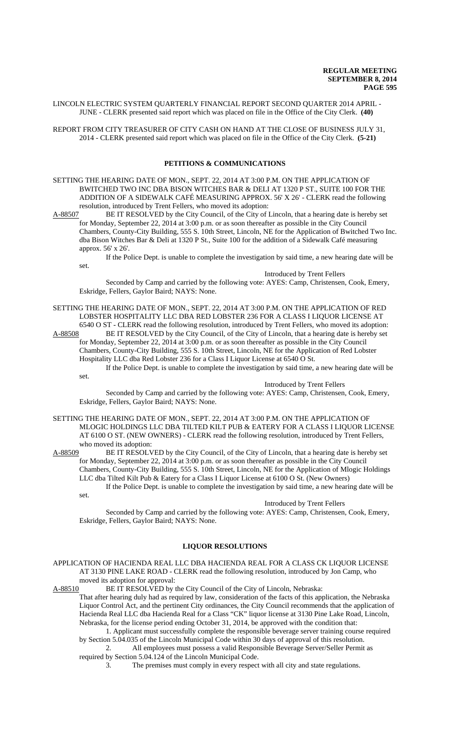LINCOLN ELECTRIC SYSTEM QUARTERLY FINANCIAL REPORT SECOND QUARTER 2014 APRIL - JUNE - CLERK presented said report which was placed on file in the Office of the City Clerk. **(40)**

REPORT FROM CITY TREASURER OF CITY CASH ON HAND AT THE CLOSE OF BUSINESS JULY 31, 2014 - CLERK presented said report which was placed on file in the Office of the City Clerk. **(5-21)**

## **PETITIONS & COMMUNICATIONS**

SETTING THE HEARING DATE OF MON., SEPT. 22, 2014 AT 3:00 P.M. ON THE APPLICATION OF BWITCHED TWO INC DBA BISON WITCHES BAR & DELI AT 1320 P ST., SUITE 100 FOR THE ADDITION OF A SIDEWALK CAFÉ MEASURING APPROX. 56' X 26' - CLERK read the following resolution, introduced by Trent Fellers, who moved its adoption:

A-88507 BE IT RESOLVED by the City Council, of the City of Lincoln, that a hearing date is hereby set for Monday, September 22, 2014 at 3:00 p.m. or as soon thereafter as possible in the City Council Chambers, County-City Building, 555 S. 10th Street, Lincoln, NE for the Application of Bwitched Two Inc. dba Bison Witches Bar & Deli at 1320 P St., Suite 100 for the addition of a Sidewalk Café measuring approx. 56' x 26'.

If the Police Dept. is unable to complete the investigation by said time, a new hearing date will be set.

### Introduced by Trent Fellers

Seconded by Camp and carried by the following vote: AYES: Camp, Christensen, Cook, Emery, Eskridge, Fellers, Gaylor Baird; NAYS: None.

SETTING THE HEARING DATE OF MON., SEPT. 22, 2014 AT 3:00 P.M. ON THE APPLICATION OF RED LOBSTER HOSPITALITY LLC DBA RED LOBSTER 236 FOR A CLASS I LIQUOR LICENSE AT

6540 O ST - CLERK read the following resolution, introduced by Trent Fellers, who moved its adoption:<br>A-88508 BE IT RESOLVED by the City Council, of the City of Lincoln, that a hearing date is hereby set BE IT RESOLVED by the City Council, of the City of Lincoln, that a hearing date is hereby set for Monday, September 22, 2014 at 3:00 p.m. or as soon thereafter as possible in the City Council Chambers, County-City Building, 555 S. 10th Street, Lincoln, NE for the Application of Red Lobster Hospitality LLC dba Red Lobster 236 for a Class I Liquor License at 6540 O St.

If the Police Dept. is unable to complete the investigation by said time, a new hearing date will be set.

Introduced by Trent Fellers

Seconded by Camp and carried by the following vote: AYES: Camp, Christensen, Cook, Emery, Eskridge, Fellers, Gaylor Baird; NAYS: None.

SETTING THE HEARING DATE OF MON., SEPT. 22, 2014 AT 3:00 P.M. ON THE APPLICATION OF MLOGIC HOLDINGS LLC DBA TILTED KILT PUB & EATERY FOR A CLASS I LIQUOR LICENSE AT 6100 O ST. (NEW OWNERS) - CLERK read the following resolution, introduced by Trent Fellers, who moved its adoption:<br>A-88509 BE IT RESOLV

BE IT RESOLVED by the City Council, of the City of Lincoln, that a hearing date is hereby set for Monday, September 22, 2014 at 3:00 p.m. or as soon thereafter as possible in the City Council Chambers, County-City Building, 555 S. 10th Street, Lincoln, NE for the Application of Mlogic Holdings LLC dba Tilted Kilt Pub & Eatery for a Class I Liquor License at 6100 O St. (New Owners) If the Police Dept. is unable to complete the investigation by said time, a new hearing date will be set.

### Introduced by Trent Fellers

Seconded by Camp and carried by the following vote: AYES: Camp, Christensen, Cook, Emery, Eskridge, Fellers, Gaylor Baird; NAYS: None.

## **LIQUOR RESOLUTIONS**

APPLICATION OF HACIENDA REAL LLC DBA HACIENDA REAL FOR A CLASS CK LIQUOR LICENSE AT 3130 PINE LAKE ROAD - CLERK read the following resolution, introduced by Jon Camp, who moved its adoption for approval:

A-88510 BE IT RESOLVED by the City Council of the City of Lincoln, Nebraska:

That after hearing duly had as required by law, consideration of the facts of this application, the Nebraska Liquor Control Act, and the pertinent City ordinances, the City Council recommends that the application of Hacienda Real LLC dba Hacienda Real for a Class "CK" liquor license at 3130 Pine Lake Road, Lincoln, Nebraska, for the license period ending October 31, 2014, be approved with the condition that:

1. Applicant must successfully complete the responsible beverage server training course required by Section 5.04.035 of the Lincoln Municipal Code within 30 days of approval of this resolution.

2. All employees must possess a valid Responsible Beverage Server/Seller Permit as required by Section 5.04.124 of the Lincoln Municipal Code.

3. The premises must comply in every respect with all city and state regulations.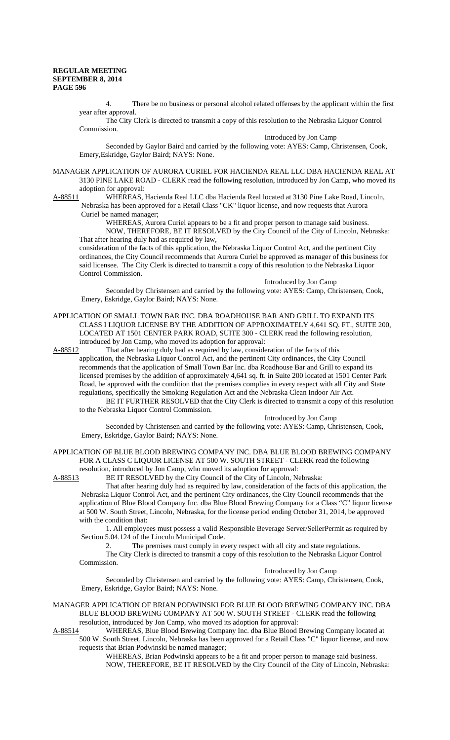4. There be no business or personal alcohol related offenses by the applicant within the first year after approval.

The City Clerk is directed to transmit a copy of this resolution to the Nebraska Liquor Control Commission.

Introduced by Jon Camp

Seconded by Gaylor Baird and carried by the following vote: AYES: Camp, Christensen, Cook, Emery,Eskridge, Gaylor Baird; NAYS: None.

MANAGER APPLICATION OF AURORA CURIEL FOR HACIENDA REAL LLC DBA HACIENDA REAL AT 3130 PINE LAKE ROAD - CLERK read the following resolution, introduced by Jon Camp, who moved its adoption for approval:

A-88511 WHEREAS, Hacienda Real LLC dba Hacienda Real located at 3130 Pine Lake Road, Lincoln, Nebraska has been approved for a Retail Class "CK" liquor license, and now requests that Aurora

Curiel be named manager;

WHEREAS, Aurora Curiel appears to be a fit and proper person to manage said business. NOW, THEREFORE, BE IT RESOLVED by the City Council of the City of Lincoln, Nebraska:

That after hearing duly had as required by law, consideration of the facts of this application, the Nebraska Liquor Control Act, and the pertinent City ordinances, the City Council recommends that Aurora Curiel be approved as manager of this business for said licensee. The City Clerk is directed to transmit a copy of this resolution to the Nebraska Liquor Control Commission.

Introduced by Jon Camp Seconded by Christensen and carried by the following vote: AYES: Camp, Christensen, Cook,

Emery, Eskridge, Gaylor Baird; NAYS: None.

APPLICATION OF SMALL TOWN BAR INC. DBA ROADHOUSE BAR AND GRILL TO EXPAND ITS CLASS I LIQUOR LICENSE BY THE ADDITION OF APPROXIMATELY 4,641 SQ. FT., SUITE 200, LOCATED AT 1501 CENTER PARK ROAD, SUITE 300 - CLERK read the following resolution, introduced by Jon Camp, who moved its adoption for approval:

A-88512 That after hearing duly had as required by law, consideration of the facts of this

application, the Nebraska Liquor Control Act, and the pertinent City ordinances, the City Council recommends that the application of Small Town Bar Inc. dba Roadhouse Bar and Grill to expand its licensed premises by the addition of approximately 4,641 sq. ft. in Suite 200 located at 1501 Center Park Road, be approved with the condition that the premises complies in every respect with all City and State regulations, specifically the Smoking Regulation Act and the Nebraska Clean Indoor Air Act.

BE IT FURTHER RESOLVED that the City Clerk is directed to transmit a copy of this resolution to the Nebraska Liquor Control Commission.

Introduced by Jon Camp

Seconded by Christensen and carried by the following vote: AYES: Camp, Christensen, Cook, Emery, Eskridge, Gaylor Baird; NAYS: None.

### APPLICATION OF BLUE BLOOD BREWING COMPANY INC. DBA BLUE BLOOD BREWING COMPANY FOR A CLASS C LIQUOR LICENSE AT 500 W. SOUTH STREET - CLERK read the following resolution, introduced by Jon Camp, who moved its adoption for approval:

A-88513 BE IT RESOLVED by the City Council of the City of Lincoln, Nebraska:

That after hearing duly had as required by law, consideration of the facts of this application, the Nebraska Liquor Control Act, and the pertinent City ordinances, the City Council recommends that the application of Blue Blood Company Inc. dba Blue Blood Brewing Company for a Class "C" liquor license at 500 W. South Street, Lincoln, Nebraska, for the license period ending October 31, 2014, be approved with the condition that:

1. All employees must possess a valid Responsible Beverage Server/SellerPermit as required by Section 5.04.124 of the Lincoln Municipal Code.

2. The premises must comply in every respect with all city and state regulations.

The City Clerk is directed to transmit a copy of this resolution to the Nebraska Liquor Control Commission. Introduced by Jon Camp

Seconded by Christensen and carried by the following vote: AYES: Camp, Christensen, Cook, Emery, Eskridge, Gaylor Baird; NAYS: None.

### MANAGER APPLICATION OF BRIAN PODWINSKI FOR BLUE BLOOD BREWING COMPANY INC. DBA BLUE BLOOD BREWING COMPANY AT 500 W. SOUTH STREET - CLERK read the following resolution, introduced by Jon Camp, who moved its adoption for approval:

A-88514 WHEREAS, Blue Blood Brewing Company Inc. dba Blue Blood Brewing Company located at 500 W. South Street, Lincoln, Nebraska has been approved for a Retail Class "C" liquor license, and now requests that Brian Podwinski be named manager;

WHEREAS, Brian Podwinski appears to be a fit and proper person to manage said business. NOW, THEREFORE, BE IT RESOLVED by the City Council of the City of Lincoln, Nebraska: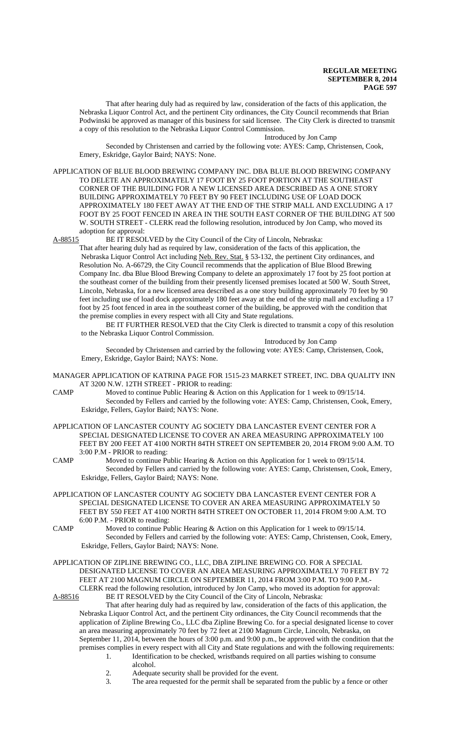That after hearing duly had as required by law, consideration of the facts of this application, the Nebraska Liquor Control Act, and the pertinent City ordinances, the City Council recommends that Brian Podwinski be approved as manager of this business for said licensee. The City Clerk is directed to transmit a copy of this resolution to the Nebraska Liquor Control Commission.

#### Introduced by Jon Camp

Seconded by Christensen and carried by the following vote: AYES: Camp, Christensen, Cook, Emery, Eskridge, Gaylor Baird; NAYS: None.

APPLICATION OF BLUE BLOOD BREWING COMPANY INC. DBA BLUE BLOOD BREWING COMPANY TO DELETE AN APPROXIMATELY 17 FOOT BY 25 FOOT PORTION AT THE SOUTHEAST CORNER OF THE BUILDING FOR A NEW LICENSED AREA DESCRIBED AS A ONE STORY BUILDING APPROXIMATELY 70 FEET BY 90 FEET INCLUDING USE OF LOAD DOCK APPROXIMATELY 180 FEET AWAY AT THE END OF THE STRIP MALL AND EXCLUDING A 17 FOOT BY 25 FOOT FENCED IN AREA IN THE SOUTH EAST CORNER OF THE BUILDING AT 500 W. SOUTH STREET - CLERK read the following resolution, introduced by Jon Camp, who moved its adoption for approval:

A-88515 BE IT RESOLVED by the City Council of the City of Lincoln, Nebraska:

That after hearing duly had as required by law, consideration of the facts of this application, the Nebraska Liquor Control Act including Neb. Rev. Stat. § 53-132, the pertinent City ordinances, and Resolution No. A-66729, the City Council recommends that the application of Blue Blood Brewing Company Inc. dba Blue Blood Brewing Company to delete an approximately 17 foot by 25 foot portion at the southeast corner of the building from their presently licensed premises located at 500 W. South Street, Lincoln, Nebraska, for a new licensed area described as a one story building approximately 70 feet by 90 feet including use of load dock approximately 180 feet away at the end of the strip mall and excluding a 17 foot by 25 foot fenced in area in the southeast corner of the building, be approved with the condition that the premise complies in every respect with all City and State regulations.

BE IT FURTHER RESOLVED that the City Clerk is directed to transmit a copy of this resolution to the Nebraska Liquor Control Commission.

Introduced by Jon Camp

Seconded by Christensen and carried by the following vote: AYES: Camp, Christensen, Cook, Emery, Eskridge, Gaylor Baird; NAYS: None.

- MANAGER APPLICATION OF KATRINA PAGE FOR 1515-23 MARKET STREET, INC. DBA QUALITY INN AT 3200 N.W. 12TH STREET - PRIOR to reading:
- CAMP Moved to continue Public Hearing & Action on this Application for 1 week to 09/15/14. Seconded by Fellers and carried by the following vote: AYES: Camp, Christensen, Cook, Emery, Eskridge, Fellers, Gaylor Baird; NAYS: None.
- APPLICATION OF LANCASTER COUNTY AG SOCIETY DBA LANCASTER EVENT CENTER FOR A SPECIAL DESIGNATED LICENSE TO COVER AN AREA MEASURING APPROXIMATELY 100 FEET BY 200 FEET AT 4100 NORTH 84TH STREET ON SEPTEMBER 20, 2014 FROM 9:00 A.M. TO 3:00 P.M - PRIOR to reading:
- CAMP Moved to continue Public Hearing & Action on this Application for 1 week to 09/15/14. Seconded by Fellers and carried by the following vote: AYES: Camp, Christensen, Cook, Emery, Eskridge, Fellers, Gaylor Baird; NAYS: None.
- APPLICATION OF LANCASTER COUNTY AG SOCIETY DBA LANCASTER EVENT CENTER FOR A SPECIAL DESIGNATED LICENSE TO COVER AN AREA MEASURING APPROXIMATELY 50 FEET BY 550 FEET AT 4100 NORTH 84TH STREET ON OCTOBER 11, 2014 FROM 9:00 A.M. TO 6:00 P.M. - PRIOR to reading:
- CAMP Moved to continue Public Hearing & Action on this Application for 1 week to 09/15/14. Seconded by Fellers and carried by the following vote: AYES: Camp, Christensen, Cook, Emery, Eskridge, Fellers, Gaylor Baird; NAYS: None.
- APPLICATION OF ZIPLINE BREWING CO., LLC, DBA ZIPLINE BREWING CO. FOR A SPECIAL DESIGNATED LICENSE TO COVER AN AREA MEASURING APPROXIMATELY 70 FEET BY 72 FEET AT 2100 MAGNUM CIRCLE ON SEPTEMBER 11, 2014 FROM 3:00 P.M. TO 9:00 P.M.- CLERK read the following resolution, introduced by Jon Camp, who moved its adoption for approval:

A-88516 BE IT RESOLVED by the City Council of the City of Lincoln, Nebraska:

That after hearing duly had as required by law, consideration of the facts of this application, the Nebraska Liquor Control Act, and the pertinent City ordinances, the City Council recommends that the application of Zipline Brewing Co., LLC dba Zipline Brewing Co. for a special designated license to cover an area measuring approximately 70 feet by 72 feet at 2100 Magnum Circle, Lincoln, Nebraska, on September 11, 2014, between the hours of 3:00 p.m. and 9:00 p.m., be approved with the condition that the premises complies in every respect with all City and State regulations and with the following requirements:

- 1. Identification to be checked, wristbands required on all parties wishing to consume alcohol.
	- 2. Adequate security shall be provided for the event.
	- 3. The area requested for the permit shall be separated from the public by a fence or other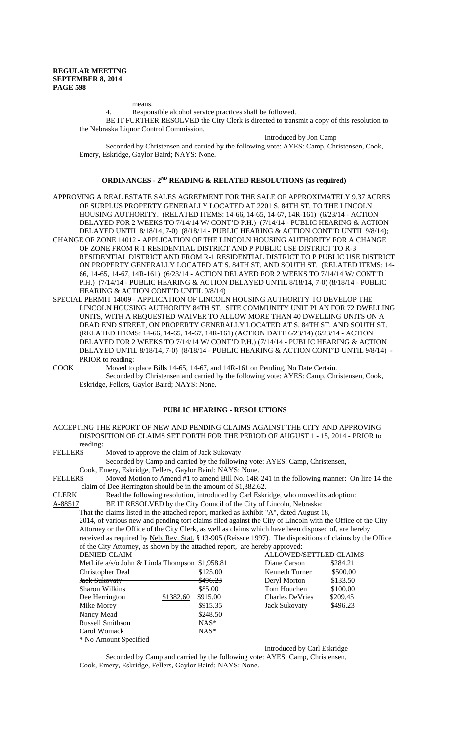means.

4. Responsible alcohol service practices shall be followed.

BE IT FURTHER RESOLVED the City Clerk is directed to transmit a copy of this resolution to the Nebraska Liquor Control Commission.

Introduced by Jon Camp

Seconded by Christensen and carried by the following vote: AYES: Camp, Christensen, Cook, Emery, Eskridge, Gaylor Baird; NAYS: None.

### **ORDINANCES - 2ND READING & RELATED RESOLUTIONS (as required)**

- APPROVING A REAL ESTATE SALES AGREEMENT FOR THE SALE OF APPROXIMATELY 9.37 ACRES OF SURPLUS PROPERTY GENERALLY LOCATED AT 2201 S. 84TH ST. TO THE LINCOLN HOUSING AUTHORITY. (RELATED ITEMS: 14-66, 14-65, 14-67, 14R-161) (6/23/14 - ACTION DELAYED FOR 2 WEEKS TO 7/14/14 W/ CONT'D P.H.) (7/14/14 - PUBLIC HEARING & ACTION DELAYED UNTIL 8/18/14, 7-0) (8/18/14 - PUBLIC HEARING & ACTION CONT'D UNTIL 9/8/14); CHANGE OF ZONE 14012 - APPLICATION OF THE LINCOLN HOUSING AUTHORITY FOR A CHANGE OF ZONE FROM R-1 RESIDENTIAL DISTRICT AND P PUBLIC USE DISTRICT TO R-3 RESIDENTIAL DISTRICT AND FROM R-1 RESIDENTIAL DISTRICT TO P PUBLIC USE DISTRICT
- ON PROPERTY GENERALLY LOCATED AT S. 84TH ST. AND SOUTH ST. (RELATED ITEMS: 14- 66, 14-65, 14-67, 14R-161) (6/23/14 - ACTION DELAYED FOR 2 WEEKS TO 7/14/14 W/ CONT'D P.H.) (7/14/14 - PUBLIC HEARING & ACTION DELAYED UNTIL 8/18/14, 7-0) (8/18/14 - PUBLIC HEARING & ACTION CONT'D UNTIL 9/8/14)
- SPECIAL PERMIT 14009 APPLICATION OF LINCOLN HOUSING AUTHORITY TO DEVELOP THE LINCOLN HOUSING AUTHORITY 84TH ST. SITE COMMUNITY UNIT PLAN FOR 72 DWELLING UNITS, WITH A REQUESTED WAIVER TO ALLOW MORE THAN 40 DWELLING UNITS ON A DEAD END STREET, ON PROPERTY GENERALLY LOCATED AT S. 84TH ST. AND SOUTH ST. (RELATED ITEMS: 14-66, 14-65, 14-67, 14R-161) (ACTION DATE 6/23/14) (6/23/14 - ACTION DELAYED FOR 2 WEEKS TO 7/14/14 W/ CONT'D P.H.) (7/14/14 - PUBLIC HEARING & ACTION DELAYED UNTIL 8/18/14, 7-0) (8/18/14 - PUBLIC HEARING & ACTION CONT'D UNTIL 9/8/14) **-** PRIOR to reading:
- COOK Moved to place Bills 14-65, 14-67, and 14R-161 on Pending, No Date Certain. Seconded by Christensen and carried by the following vote: AYES: Camp, Christensen, Cook, Eskridge, Fellers, Gaylor Baird; NAYS: None.

## **PUBLIC HEARING - RESOLUTIONS**

| ACCEPTING THE REPORT OF NEW AND PENDING CLAIMS AGAINST THE CITY AND APPROVING    |
|----------------------------------------------------------------------------------|
| DISPOSITION OF CLAIMS SET FORTH FOR THE PERIOD OF AUGUST 1 - 15, 2014 - PRIOR to |
| reading:                                                                         |

FELLERS Moved to approve the claim of Jack Sukovaty

Seconded by Camp and carried by the following vote: AYES: Camp, Christensen,

Cook, Emery, Eskridge, Fellers, Gaylor Baird; NAYS: None.

FELLERS Moved Motion to Amend #1 to amend Bill No. 14R-241 in the following manner: On line 14 the claim of Dee Herrington should be in the amount of \$1,382.62.

- CLERK Read the following resolution, introduced by Carl Eskridge, who moved its adoption:<br>A-88517 BE IT RESOLVED by the City Council of the City of Lincoln, Nebraska:
	- BE IT RESOLVED by the City Council of the City of Lincoln, Nebraska:

That the claims listed in the attached report, marked as Exhibit "A", dated August 18,

2014, of various new and pending tort claims filed against the City of Lincoln with the Office of the City Attorney or the Office of the City Clerk, as well as claims which have been disposed of, are hereby received as required by Neb. Rev. Stat. § 13-905 (Reissue 1997). The dispositions of claims by the Office of the City Attorney, as shown by the attached report, are hereby approved:

| <b>DENIED CLAIM</b>                 |           |            | ALLOWED/SETTLED CLAIMS |          |  |
|-------------------------------------|-----------|------------|------------------------|----------|--|
| MetLife a/s/o John & Linda Thompson |           | \$1,958.81 | Diane Carson           | \$284.21 |  |
| Christopher Deal                    |           | \$125.00   | Kenneth Turner         | \$500.00 |  |
| <b>Jack Sukovaty</b>                |           | \$496.23   | Deryl Morton           | \$133.50 |  |
| <b>Sharon Wilkins</b>               |           | \$85.00    | Tom Houchen            | \$100.00 |  |
| Dee Herrington                      | \$1382.60 | \$915.00   | <b>Charles DeVries</b> | \$209.45 |  |
| Mike Morey                          |           | \$915.35   | <b>Jack Sukovaty</b>   | \$496.23 |  |
| Nancy Mead                          |           | \$248.50   |                        |          |  |
| <b>Russell Smithson</b>             |           | $NAS^*$    |                        |          |  |
| Carol Womack                        |           | $NAS^*$    |                        |          |  |
| * No Amount Specified               |           |            |                        |          |  |

Introduced by Carl Eskridge

Seconded by Camp and carried by the following vote: AYES: Camp, Christensen, Cook, Emery, Eskridge, Fellers, Gaylor Baird; NAYS: None.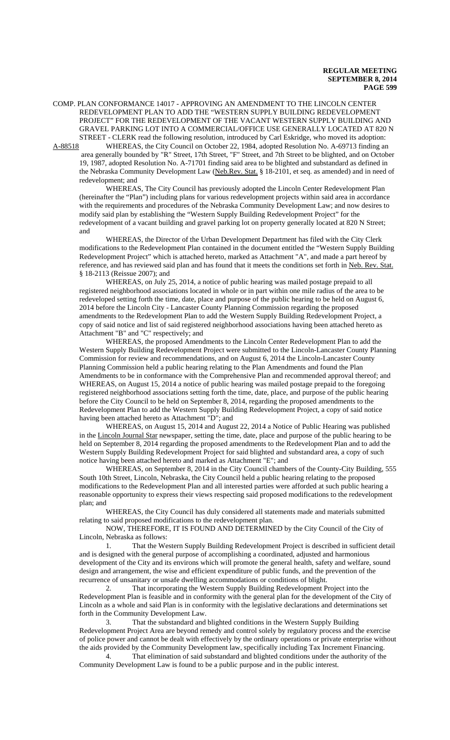COMP. PLAN CONFORMANCE 14017 - APPROVING AN AMENDMENT TO THE LINCOLN CENTER REDEVELOPMENT PLAN TO ADD THE "WESTERN SUPPLY BUILDING REDEVELOPMENT PROJECT" FOR THE REDEVELOPMENT OF THE VACANT WESTERN SUPPLY BUILDING AND GRAVEL PARKING LOT INTO A COMMERCIAL/OFFICE USE GENERALLY LOCATED AT 820 N STREET - CLERK read the following resolution, introduced by Carl Eskridge, who moved its adoption:<br>A-88518 WHEREAS, the City Council on October 22, 1984, adopted Resolution No. A-69713 finding an

WHEREAS, the City Council on October 22, 1984, adopted Resolution No. A-69713 finding an area generally bounded by "R" Street, 17th Street, "F" Street, and 7th Street to be blighted, and on October 19, 1987, adopted Resolution No. A-71701 finding said area to be blighted and substandard as defined in the Nebraska Community Development Law (Neb.Rev. Stat. § 18-2101, et seq. as amended) and in need of redevelopment; and

WHEREAS, The City Council has previously adopted the Lincoln Center Redevelopment Plan (hereinafter the "Plan") including plans for various redevelopment projects within said area in accordance with the requirements and procedures of the Nebraska Community Development Law; and now desires to modify said plan by establishing the "Western Supply Building Redevelopment Project" for the redevelopment of a vacant building and gravel parking lot on property generally located at 820 N Street; and

WHEREAS, the Director of the Urban Development Department has filed with the City Clerk modifications to the Redevelopment Plan contained in the document entitled the "Western Supply Building Redevelopment Project" which is attached hereto, marked as Attachment "A", and made a part hereof by reference, and has reviewed said plan and has found that it meets the conditions set forth in Neb. Rev. Stat. § 18-2113 (Reissue 2007); and

WHEREAS, on July 25, 2014, a notice of public hearing was mailed postage prepaid to all registered neighborhood associations located in whole or in part within one mile radius of the area to be redeveloped setting forth the time, date, place and purpose of the public hearing to be held on August 6, 2014 before the Lincoln City - Lancaster County Planning Commission regarding the proposed amendments to the Redevelopment Plan to add the Western Supply Building Redevelopment Project, a copy of said notice and list of said registered neighborhood associations having been attached hereto as Attachment "B" and "C" respectively; and

WHEREAS, the proposed Amendments to the Lincoln Center Redevelopment Plan to add the Western Supply Building Redevelopment Project were submitted to the Lincoln-Lancaster County Planning Commission for review and recommendations, and on August 6, 2014 the Lincoln-Lancaster County Planning Commission held a public hearing relating to the Plan Amendments and found the Plan Amendments to be in conformance with the Comprehensive Plan and recommended approval thereof; and WHEREAS, on August 15, 2014 a notice of public hearing was mailed postage prepaid to the foregoing registered neighborhood associations setting forth the time, date, place, and purpose of the public hearing before the City Council to be held on September 8, 2014, regarding the proposed amendments to the Redevelopment Plan to add the Western Supply Building Redevelopment Project, a copy of said notice having been attached hereto as Attachment "D"; and

WHEREAS, on August 15, 2014 and August 22, 2014 a Notice of Public Hearing was published in the Lincoln Journal Star newspaper, setting the time, date, place and purpose of the public hearing to be held on September 8, 2014 regarding the proposed amendments to the Redevelopment Plan and to add the Western Supply Building Redevelopment Project for said blighted and substandard area, a copy of such notice having been attached hereto and marked as Attachment "E"; and

WHEREAS, on September 8, 2014 in the City Council chambers of the County-City Building, 555 South 10th Street, Lincoln, Nebraska, the City Council held a public hearing relating to the proposed modifications to the Redevelopment Plan and all interested parties were afforded at such public hearing a reasonable opportunity to express their views respecting said proposed modifications to the redevelopment plan; and

WHEREAS, the City Council has duly considered all statements made and materials submitted relating to said proposed modifications to the redevelopment plan.

NOW, THEREFORE, IT IS FOUND AND DETERMINED by the City Council of the City of Lincoln, Nebraska as follows:

1. That the Western Supply Building Redevelopment Project is described in sufficient detail and is designed with the general purpose of accomplishing a coordinated, adjusted and harmonious development of the City and its environs which will promote the general health, safety and welfare, sound design and arrangement, the wise and efficient expenditure of public funds, and the prevention of the recurrence of unsanitary or unsafe dwelling accommodations or conditions of blight.

2. That incorporating the Western Supply Building Redevelopment Project into the Redevelopment Plan is feasible and in conformity with the general plan for the development of the City of Lincoln as a whole and said Plan is in conformity with the legislative declarations and determinations set forth in the Community Development Law.

3. That the substandard and blighted conditions in the Western Supply Building Redevelopment Project Area are beyond remedy and control solely by regulatory process and the exercise of police power and cannot be dealt with effectively by the ordinary operations or private enterprise without the aids provided by the Community Development law, specifically including Tax Increment Financing.

4. That elimination of said substandard and blighted conditions under the authority of the Community Development Law is found to be a public purpose and in the public interest.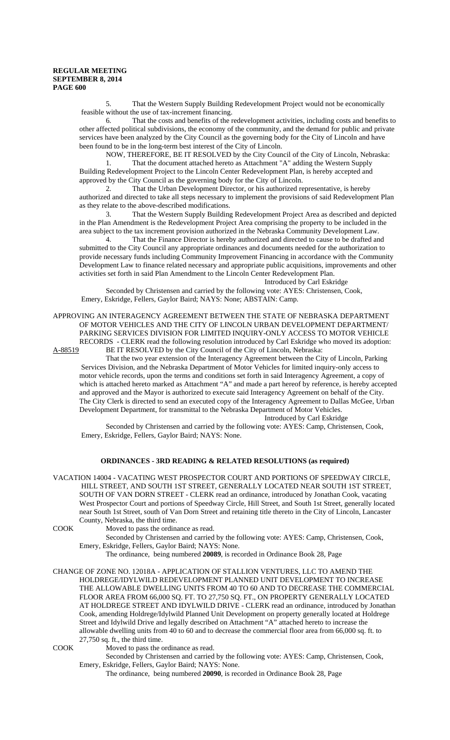5. That the Western Supply Building Redevelopment Project would not be economically feasible without the use of tax-increment financing.

6. That the costs and benefits of the redevelopment activities, including costs and benefits to other affected political subdivisions, the economy of the community, and the demand for public and private services have been analyzed by the City Council as the governing body for the City of Lincoln and have been found to be in the long-term best interest of the City of Lincoln.

NOW, THEREFORE, BE IT RESOLVED by the City Council of the City of Lincoln, Nebraska: 1. That the document attached hereto as Attachment "A" adding the Western Supply Building Redevelopment Project to the Lincoln Center Redevelopment Plan, is hereby accepted and approved by the City Council as the governing body for the City of Lincoln.

2. That the Urban Development Director, or his authorized representative, is hereby authorized and directed to take all steps necessary to implement the provisions of said Redevelopment Plan as they relate to the above-described modifications.

3. That the Western Supply Building Redevelopment Project Area as described and depicted in the Plan Amendment is the Redevelopment Project Area comprising the property to be included in the area subject to the tax increment provision authorized in the Nebraska Community Development Law.

4. That the Finance Director is hereby authorized and directed to cause to be drafted and submitted to the City Council any appropriate ordinances and documents needed for the authorization to provide necessary funds including Community Improvement Financing in accordance with the Community Development Law to finance related necessary and appropriate public acquisitions, improvements and other activities set forth in said Plan Amendment to the Lincoln Center Redevelopment Plan.

Introduced by Carl Eskridge

Seconded by Christensen and carried by the following vote: AYES: Christensen, Cook, Emery, Eskridge, Fellers, Gaylor Baird; NAYS: None; ABSTAIN: Camp.

## APPROVING AN INTERAGENCY AGREEMENT BETWEEN THE STATE OF NEBRASKA DEPARTMENT OF MOTOR VEHICLES AND THE CITY OF LINCOLN URBAN DEVELOPMENT DEPARTMENT/ PARKING SERVICES DIVISION FOR LIMITED INQUIRY-ONLY ACCESS TO MOTOR VEHICLE RECORDS - CLERK read the following resolution introduced by Carl Eskridge who moved its adoption:

A-88519 BE IT RESOLVED by the City Council of the City of Lincoln, Nebraska:

That the two year extension of the Interagency Agreement between the City of Lincoln, Parking Services Division, and the Nebraska Department of Motor Vehicles for limited inquiry-only access to motor vehicle records, upon the terms and conditions set forth in said Interagency Agreement, a copy of which is attached hereto marked as Attachment "A" and made a part hereof by reference, is hereby accepted and approved and the Mayor is authorized to execute said Interagency Agreement on behalf of the City. The City Clerk is directed to send an executed copy of the Interagency Agreement to Dallas McGee, Urban Development Department, for transmittal to the Nebraska Department of Motor Vehicles.

Introduced by Carl Eskridge

Seconded by Christensen and carried by the following vote: AYES: Camp, Christensen, Cook, Emery, Eskridge, Fellers, Gaylor Baird; NAYS: None.

## **ORDINANCES - 3RD READING & RELATED RESOLUTIONS (as required)**

VACATION 14004 - VACATING WEST PROSPECTOR COURT AND PORTIONS OF SPEEDWAY CIRCLE, HILL STREET, AND SOUTH 1ST STREET, GENERALLY LOCATED NEAR SOUTH 1ST STREET, SOUTH OF VAN DORN STREET - CLERK read an ordinance, introduced by Jonathan Cook, vacating West Prospector Court and portions of Speedway Circle, Hill Street, and South 1st Street, generally located near South 1st Street, south of Van Dorn Street and retaining title thereto in the City of Lincoln, Lancaster County, Nebraska, the third time.

COOK Moved to pass the ordinance as read.

Seconded by Christensen and carried by the following vote: AYES: Camp, Christensen, Cook, Emery, Eskridge, Fellers, Gaylor Baird; NAYS: None.

The ordinance, being numbered **20089**, is recorded in Ordinance Book 28, Page

CHANGE OF ZONE NO. 12018A - APPLICATION OF STALLION VENTURES, LLC TO AMEND THE HOLDREGE/IDYLWILD REDEVELOPMENT PLANNED UNIT DEVELOPMENT TO INCREASE THE ALLOWABLE DWELLING UNITS FROM 40 TO 60 AND TO DECREASE THE COMMERCIAL FLOOR AREA FROM 66,000 SQ. FT. TO 27,750 SQ. FT., ON PROPERTY GENERALLY LOCATED AT HOLDREGE STREET AND IDYLWILD DRIVE - CLERK read an ordinance, introduced by Jonathan Cook, amending Holdrege/Idylwild Planned Unit Development on property generally located at Holdrege Street and Idylwild Drive and legally described on Attachment "A" attached hereto to increase the allowable dwelling units from 40 to 60 and to decrease the commercial floor area from 66,000 sq. ft. to 27,750 sq. ft., the third time.

COOK Moved to pass the ordinance as read.

Seconded by Christensen and carried by the following vote: AYES: Camp, Christensen, Cook, Emery, Eskridge, Fellers, Gaylor Baird; NAYS: None.

The ordinance, being numbered **20090**, is recorded in Ordinance Book 28, Page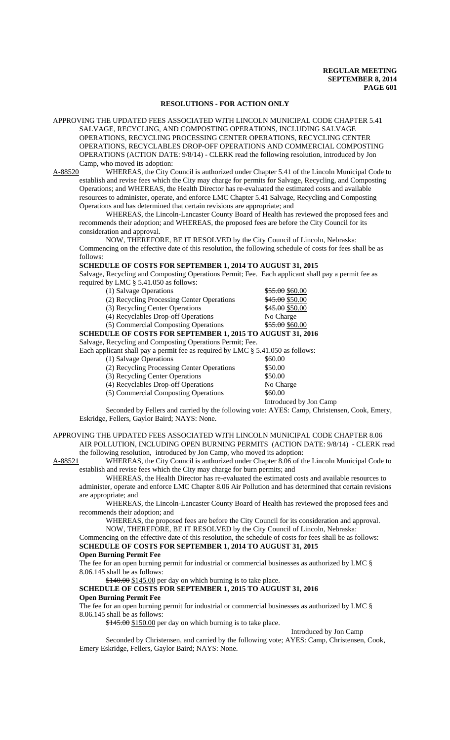## **RESOLUTIONS - FOR ACTION ONLY**

APPROVING THE UPDATED FEES ASSOCIATED WITH LINCOLN MUNICIPAL CODE CHAPTER 5.41 SALVAGE, RECYCLING, AND COMPOSTING OPERATIONS, INCLUDING SALVAGE OPERATIONS, RECYCLING PROCESSING CENTER OPERATIONS, RECYCLING CENTER OPERATIONS, RECYCLABLES DROP-OFF OPERATIONS AND COMMERCIAL COMPOSTING OPERATIONS (ACTION DATE: 9/8/14) **-** CLERK read the following resolution, introduced by Jon Camp, who moved its adoption:

A-88520 WHEREAS, the City Council is authorized under Chapter 5.41 of the Lincoln Municipal Code to establish and revise fees which the City may charge for permits for Salvage, Recycling, and Composting Operations; and WHEREAS, the Health Director has re-evaluated the estimated costs and available resources to administer, operate, and enforce LMC Chapter 5.41 Salvage, Recycling and Composting Operations and has determined that certain revisions are appropriate; and

WHEREAS, the Lincoln-Lancaster County Board of Health has reviewed the proposed fees and recommends their adoption; and WHEREAS, the proposed fees are before the City Council for its consideration and approval.

NOW, THEREFORE, BE IT RESOLVED by the City Council of Lincoln, Nebraska: Commencing on the effective date of this resolution, the following schedule of costs for fees shall be as follows:

#### **SCHEDULE OF COSTS FOR SEPTEMBER 1, 2014 TO AUGUST 31, 2015**

Salvage, Recycling and Composting Operations Permit; Fee. Each applicant shall pay a permit fee as required by LMC § 5.41.050 as follows:

(1) Salvage Operations  $\frac{$55.00}{$60.00}$ 

| (2) Recycling Processing Center Operations                        | \$45.00 \$50.00 |
|-------------------------------------------------------------------|-----------------|
| (3) Recycling Center Operations                                   | \$45.00 \$50.00 |
| (4) Recyclables Drop-off Operations                               | No Charge       |
| (5) Commercial Composting Operations                              | \$55.00 \$60.00 |
| <b>SCHEDULE OF COSTS FOR SEPTEMBER 1, 2015 TO AUGUST 31, 2016</b> |                 |
|                                                                   |                 |

Salvage, Recycling and Composting Operations Permit; Fee.

| Each applicant shall pay a permit fee as required by LMC $\S$ 5.41.050 as follows: |         |
|------------------------------------------------------------------------------------|---------|
| (1) Salvage Operations                                                             | \$60.00 |
| (2) Recycling Processing Center Operations                                         | \$50.00 |

- 
- (3) Recycling Center Operations \$50.00<br>
(4) Recyclables Drop-off Operations No Charge
- (4) Recyclables Drop-off Operations No Charge No Charge No Charge S60.00

 $(5)$  Commercial Composting Operations

Introduced by Jon Camp

Seconded by Fellers and carried by the following vote: AYES: Camp, Christensen, Cook, Emery, Eskridge, Fellers, Gaylor Baird; NAYS: None.

APPROVING THE UPDATED FEES ASSOCIATED WITH LINCOLN MUNICIPAL CODE CHAPTER 8.06 AIR POLLUTION, INCLUDING OPEN BURNING PERMITS (ACTION DATE: 9/8/14) - CLERK read the following resolution, introduced by Jon Camp, who moved its adoption:

A-88521 WHEREAS, the City Council is authorized under Chapter 8.06 of the Lincoln Municipal Code to establish and revise fees which the City may charge for burn permits; and

WHEREAS, the Health Director has re-evaluated the estimated costs and available resources to administer, operate and enforce LMC Chapter 8.06 Air Pollution and has determined that certain revisions are appropriate; and

WHEREAS, the Lincoln-Lancaster County Board of Health has reviewed the proposed fees and recommends their adoption; and

WHEREAS, the proposed fees are before the City Council for its consideration and approval. NOW, THEREFORE, BE IT RESOLVED by the City Council of Lincoln, Nebraska:

Commencing on the effective date of this resolution, the schedule of costs for fees shall be as follows: **SCHEDULE OF COSTS FOR SEPTEMBER 1, 2014 TO AUGUST 31, 2015**

#### **Open Burning Permit Fee**

The fee for an open burning permit for industrial or commercial businesses as authorized by LMC § 8.06.145 shall be as follows:

\$140.00 \$145.00 per day on which burning is to take place.

## **SCHEDULE OF COSTS FOR SEPTEMBER 1, 2015 TO AUGUST 31, 2016 Open Burning Permit Fee**

The fee for an open burning permit for industrial or commercial businesses as authorized by LMC § 8.06.145 shall be as follows:

\$145.00 \$150.00 per day on which burning is to take place.

Introduced by Jon Camp

Seconded by Christensen, and carried by the following vote; AYES: Camp, Christensen, Cook, Emery Eskridge, Fellers, Gaylor Baird; NAYS: None.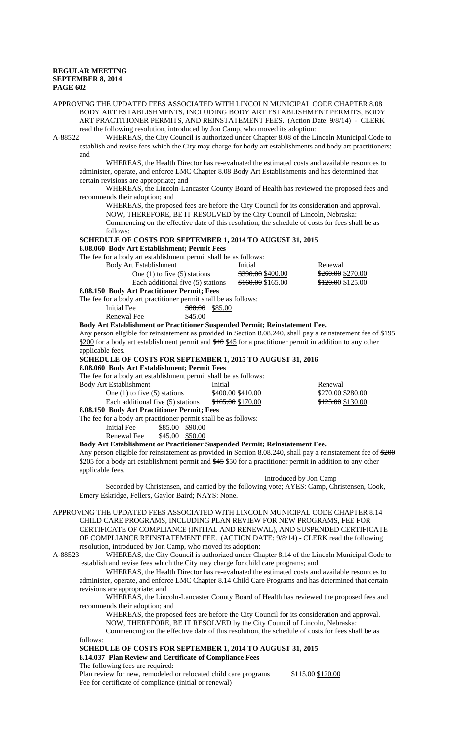APPROVING THE UPDATED FEES ASSOCIATED WITH LINCOLN MUNICIPAL CODE CHAPTER 8.08 BODY ART ESTABLISHMENTS, INCLUDING BODY ART ESTABLISHMENT PERMITS, BODY ART PRACTITIONER PERMITS, AND REINSTATEMENT FEES. (Action Date: 9/8/14) - CLERK read the following resolution, introduced by Jon Camp, who moved its adoption:<br>A-88522 WHEREAS, the City Council is authorized under Chapter 8.08 of the Li

WHEREAS, the City Council is authorized under Chapter 8.08 of the Lincoln Municipal Code to establish and revise fees which the City may charge for body art establishments and body art practitioners; and

WHEREAS, the Health Director has re-evaluated the estimated costs and available resources to administer, operate, and enforce LMC Chapter 8.08 Body Art Establishments and has determined that certain revisions are appropriate; and

WHEREAS, the Lincoln-Lancaster County Board of Health has reviewed the proposed fees and recommends their adoption; and

WHEREAS, the proposed fees are before the City Council for its consideration and approval. NOW, THEREFORE, BE IT RESOLVED by the City Council of Lincoln, Nebraska: Commencing on the effective date of this resolution, the schedule of costs for fees shall be as follows:

**SCHEDULE OF COSTS FOR SEPTEMBER 1, 2014 TO AUGUST 31, 2015**

## **8.08.060 Body Art Establishment; Permit Fees**

The fee for a body art establishment permit shall be as follows:

Body Art Establishment Initial Renewal One (1) to five (5) stations  $\frac{$390.00}{$165.00}$   $\frac{$260.00}{$120.00}$  Each additional five (5) stations  $\frac{$160.00}{$165.00}$   $\frac{$270.00}{$125.00}$ Each additional five  $(5)$  stations

**8.08.150 Body Art Practitioner Permit; Fees**

The fee for a body art practitioner permit shall be as follows:

| Initial Fee | <del>\$80.00</del> \$85.00 |  |
|-------------|----------------------------|--|
| Renewal Fee | \$45.00                    |  |

### **Body Art Establishment or Practitioner Suspended Permit; Reinstatement Fee.**

Any person eligible for reinstatement as provided in Section 8.08.240, shall pay a reinstatement fee of \$195 \$200 for a body art establishment permit and \$40 \$45 for a practitioner permit in addition to any other applicable fees.

**SCHEDULE OF COSTS FOR SEPTEMBER 1, 2015 TO AUGUST 31, 2016**

**8.08.060 Body Art Establishment; Permit Fees**

The fee for a body art establishment permit shall be as follows:

| Body Art Establishment            | Initial                      | Renewal                      |
|-----------------------------------|------------------------------|------------------------------|
| One $(1)$ to five $(5)$ stations  | <del>\$400.00</del> \$410.00 | <del>\$270.00</del> \$280.00 |
| Each additional five (5) stations | <del>\$165.00</del> \$170.00 | <del>\$125.00</del> \$130.00 |
| $0.00170 \mu$ i in                |                              |                              |

**8.08.150 Body Art Practitioner Permit; Fees**

applicable fees.

The fee for a body art practitioner permit shall be as follows:

Initial Fee  $\frac{$85.00}{$90.00}$ 

Renewal Fee  $\frac{$45.00}{$50.00}$ 

**Body Art Establishment or Practitioner Suspended Permit; Reinstatement Fee.** Any person eligible for reinstatement as provided in Section 8.08.240, shall pay a reinstatement fee of  $200$ \$205 for a body art establishment permit and \$45 \$50 for a practitioner permit in addition to any other

Introduced by Jon Camp

Seconded by Christensen, and carried by the following vote; AYES: Camp, Christensen, Cook, Emery Eskridge, Fellers, Gaylor Baird; NAYS: None.

APPROVING THE UPDATED FEES ASSOCIATED WITH LINCOLN MUNICIPAL CODE CHAPTER 8.14 CHILD CARE PROGRAMS, INCLUDING PLAN REVIEW FOR NEW PROGRAMS, FEE FOR CERTIFICATE OF COMPLIANCE (INITIAL AND RENEWAL), AND SUSPENDED CERTIFICATE OF COMPLIANCE REINSTATEMENT FEE. (ACTION DATE: 9/8/14) - CLERK read the following resolution, introduced by Jon Camp, who moved its adoption:

A-88523 WHEREAS, the City Council is authorized under Chapter 8.14 of the Lincoln Municipal Code to establish and revise fees which the City may charge for child care programs; and

WHEREAS, the Health Director has re-evaluated the estimated costs and available resources to administer, operate, and enforce LMC Chapter 8.14 Child Care Programs and has determined that certain revisions are appropriate; and

WHEREAS, the Lincoln-Lancaster County Board of Health has reviewed the proposed fees and recommends their adoption; and

WHEREAS, the proposed fees are before the City Council for its consideration and approval. NOW, THEREFORE, BE IT RESOLVED by the City Council of Lincoln, Nebraska:

Commencing on the effective date of this resolution, the schedule of costs for fees shall be as follows:

**SCHEDULE OF COSTS FOR SEPTEMBER 1, 2014 TO AUGUST 31, 2015 8.14.037 Plan Review and Certificate of Compliance Fees**

The following fees are required:

Plan review for new, remodeled or relocated child care programs \$115.00 \$120.00 Fee for certificate of compliance (initial or renewal)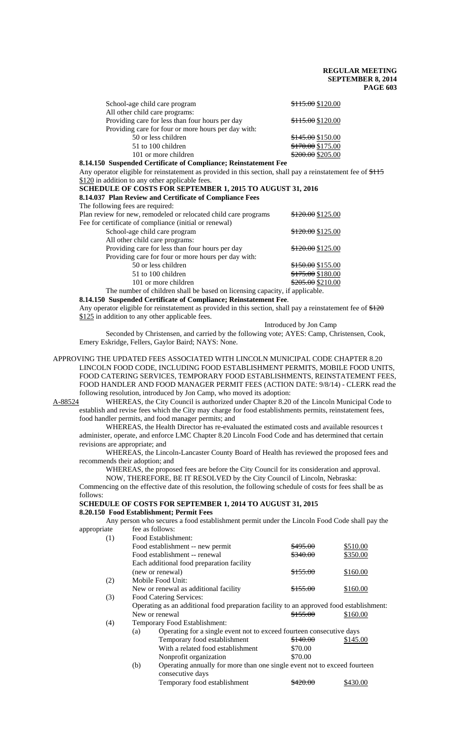| School-age child care program                       | \$115.00 \$120.00 |
|-----------------------------------------------------|-------------------|
| All other child care programs:                      |                   |
| Providing care for less than four hours per day     | \$115.00 \$120.00 |
| Providing care for four or more hours per day with: |                   |
| 50 or less children                                 | \$145.00 \$150.00 |
| 51 to 100 children                                  | \$170.00 \$175.00 |
| 101 or more children                                | \$200.00 \$205.00 |

**8.14.150 Suspended Certificate of Compliance; Reinstatement Fee** Any operator eligible for reinstatement as provided in this section, shall pay a reinstatement fee of \$115

\$120 in addition to any other applicable fees.

**SCHEDULE OF COSTS FOR SEPTEMBER 1, 2015 TO AUGUST 31, 2016 8.14.037 Plan Review and Certificate of Compliance Fees**

The following fees are required:

| The Tono wing Tees are required.                                          |                   |
|---------------------------------------------------------------------------|-------------------|
| Plan review for new, remodeled or relocated child care programs           | \$120.00 \$125.00 |
| Fee for certificate of compliance (initial or renewal)                    |                   |
| School-age child care program                                             | \$120.00 \$125.00 |
| All other child care programs:                                            |                   |
| Providing care for less than four hours per day                           | \$120.00 \$125.00 |
| Providing care for four or more hours per day with:                       |                   |
| 50 or less children                                                       | \$150.00 \$155.00 |
| 51 to 100 children                                                        | \$175.00 \$180.00 |
| 101 or more children                                                      | \$205.00 \$210.00 |
| The number of children shall be based on licensing capacity if applicable |                   |

The number of children shall be based on licensing capacity, if applicable.

**8.14.150 Suspended Certificate of Compliance; Reinstatement Fee**. Any operator eligible for reinstatement as provided in this section, shall pay a reinstatement fee of \$120 \$125 in addition to any other applicable fees.

Introduced by Jon Camp

Seconded by Christensen, and carried by the following vote; AYES: Camp, Christensen, Cook, Emery Eskridge, Fellers, Gaylor Baird; NAYS: None.

### APPROVING THE UPDATED FEES ASSOCIATED WITH LINCOLN MUNICIPAL CODE CHAPTER 8.20 LINCOLN FOOD CODE, INCLUDING FOOD ESTABLISHMENT PERMITS, MOBILE FOOD UNITS, FOOD CATERING SERVICES, TEMPORARY FOOD ESTABLISHMENTS, REINSTATEMENT FEES, FOOD HANDLER AND FOOD MANAGER PERMIT FEES (ACTION DATE: 9/8/14) - CLERK read the following resolution, introduced by Jon Camp, who moved its adoption:

A-88524 WHEREAS, the City Council is authorized under Chapter 8.20 of the Lincoln Municipal Code to establish and revise fees which the City may charge for food establishments permits, reinstatement fees, food handler permits, and food manager permits; and

WHEREAS, the Health Director has re-evaluated the estimated costs and available resources t administer, operate, and enforce LMC Chapter 8.20 Lincoln Food Code and has determined that certain revisions are appropriate; and

WHEREAS, the Lincoln-Lancaster County Board of Health has reviewed the proposed fees and recommends their adoption; and

WHEREAS, the proposed fees are before the City Council for its consideration and approval.

NOW, THEREFORE, BE IT RESOLVED by the City Council of Lincoln, Nebraska: Commencing on the effective date of this resolution, the following schedule of costs for fees shall be as follows:

# **SCHEDULE OF COSTS FOR SEPTEMBER 1, 2014 TO AUGUST 31, 2015**

**8.20.150 Food Establishment; Permit Fees**

Any person who secures a food establishment permit under the Lincoln Food Code shall pay the appropriate fee as follows:

| (1) | Food Establishment:                       |          |          |  |  |  |  |
|-----|-------------------------------------------|----------|----------|--|--|--|--|
|     | Food establishment -- new permit          | \$495.00 | \$510.00 |  |  |  |  |
|     | Food establishment -- renewal             | \$340.00 | \$350.00 |  |  |  |  |
|     | Each additional food preparation facility |          |          |  |  |  |  |
|     | (new or renewal)                          | \$155.00 | \$160.00 |  |  |  |  |
| (2) | Mobile Food Unit:                         |          |          |  |  |  |  |
|     | New or renewal as additional facility     | \$155.00 | \$160.00 |  |  |  |  |
| (3) | Food Catering Services:                   |          |          |  |  |  |  |

Operating as an additional food preparation facility to an approved food establishment: New or renewal \$155.00 \$160.00

(4) Temporary Food Establishment:

| (a) | Operating for a single event not to exceed fourteen consecutive days                                                                                                                                                                                                          |          |          |
|-----|-------------------------------------------------------------------------------------------------------------------------------------------------------------------------------------------------------------------------------------------------------------------------------|----------|----------|
|     | Temporary food establishment                                                                                                                                                                                                                                                  | \$140.00 | \$145.00 |
|     | With a related food establishment                                                                                                                                                                                                                                             | \$70.00  |          |
|     | Nonprofit organization                                                                                                                                                                                                                                                        | \$70.00  |          |
|     | $\bigcap_{i=1}^{n}$ , and it is a set of $\bigcap_{i=1}^{n}$ . The set of $\bigcap_{i=1}^{n}$ is a set of $\bigcap_{i=1}^{n}$ . The set of $\bigcap_{i=1}^{n}$ is a set of $\bigcap_{i=1}^{n}$ . In the set of $\bigcap_{i=1}^{n}$ is a set of $\bigcap_{i=1}^{n}$ . In the s |          |          |

(b) Operating annually for more than one single event not to exceed fourteen consecutive days Temporary food establishment  $\frac{$420.00}{$420.00}$  \$430.00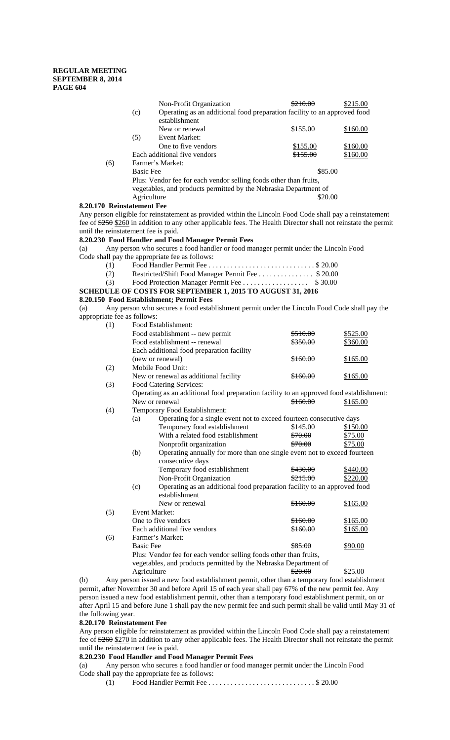|                                      |     |                  | Non-Profit Organization                                                                                         | <del>\$210.00</del> | \$215.00 |
|--------------------------------------|-----|------------------|-----------------------------------------------------------------------------------------------------------------|---------------------|----------|
|                                      |     | (c)              | Operating as an additional food preparation facility to an approved food                                        |                     |          |
|                                      |     |                  | establishment                                                                                                   |                     |          |
|                                      |     |                  | New or renewal                                                                                                  | <del>\$155.00</del> | \$160.00 |
|                                      |     | (5)              | Event Market:                                                                                                   |                     |          |
|                                      |     |                  | One to five vendors                                                                                             | \$155.00            | \$160.00 |
|                                      |     |                  | Each additional five vendors                                                                                    | <del>\$155.00</del> | \$160.00 |
|                                      | (6) |                  | Farmer's Market:                                                                                                |                     |          |
|                                      |     | <b>Basic Fee</b> |                                                                                                                 | \$85.00             |          |
|                                      |     |                  | Plus: Vendor fee for each vendor selling foods other than fruits,                                               |                     |          |
|                                      |     |                  | vegetables, and products permitted by the Nebraska Department of                                                |                     |          |
|                                      |     | Agriculture      |                                                                                                                 | \$20.00             |          |
| 8.20.170 Reinstatement Fee           |     |                  |                                                                                                                 |                     |          |
|                                      |     |                  | Any person eligible for reinstatement as provided within the Lincoln Food Code shall pay a reinstatement        |                     |          |
|                                      |     |                  | fee of $250$ $260$ in addition to any other applicable fees. The Health Director shall not reinstate the permit |                     |          |
| until the reinstatement fee is paid. |     |                  |                                                                                                                 |                     |          |
|                                      |     |                  | 8.20.230 Food Handler and Food Manager Permit Fees                                                              |                     |          |
| (a)                                  |     |                  | Any person who secures a food handler or food manager permit under the Lincoln Food                             |                     |          |
|                                      |     |                  | Code shall pay the appropriate fee as follows:                                                                  |                     |          |
|                                      | (1) |                  |                                                                                                                 |                     |          |
|                                      | (2) |                  | Restricted/Shift Food Manager Permit Fee \$ 20.00                                                               |                     |          |
|                                      | (3) |                  | Food Protection Manager Permit Fee \$ 30.00                                                                     |                     |          |
|                                      |     |                  | SCHEDULE OF COSTS FOR SEPTEMBER 1, 2015 TO AUGUST 31, 2016                                                      |                     |          |
|                                      |     |                  | 8.20.150 Food Establishment; Permit Fees                                                                        |                     |          |
|                                      |     |                  |                                                                                                                 |                     |          |

(a) Any person who secures a food establishment permit under the Lincoln Food Code shall pay the appropriate fee as follows:

| (1) | Food Establishment:                                                                     |                     |          |  |  |  |  |
|-----|-----------------------------------------------------------------------------------------|---------------------|----------|--|--|--|--|
|     | Food establishment -- new permit                                                        | <del>\$510.00</del> | \$525.00 |  |  |  |  |
|     | Food establishment -- renewal                                                           | <del>\$350.00</del> | \$360.00 |  |  |  |  |
|     | Each additional food preparation facility                                               |                     |          |  |  |  |  |
|     | (new or renewal)                                                                        | <del>\$160.00</del> | \$165.00 |  |  |  |  |
| (2) | Mobile Food Unit:                                                                       |                     |          |  |  |  |  |
|     | New or renewal as additional facility                                                   | \$160.00            | \$165.00 |  |  |  |  |
| (3) | Food Catering Services:                                                                 |                     |          |  |  |  |  |
|     | Operating as an additional food preparation facility to an approved food establishment: |                     |          |  |  |  |  |
|     | New or renewal                                                                          | \$160.00            | \$165.00 |  |  |  |  |
| (4) | Temporary Food Establishment:                                                           |                     |          |  |  |  |  |
|     | Operating for a single event not to exceed fourteen consecutive days<br>(a)             |                     |          |  |  |  |  |
|     | Temporary food establishment                                                            | \$145.00            | \$150.00 |  |  |  |  |
|     | With a related food establishment                                                       | \$70.00             | \$75.00  |  |  |  |  |
|     | Nonprofit organization                                                                  | \$70.00             | \$75.00  |  |  |  |  |
|     | (b)<br>Operating annually for more than one single event not to exceed fourteen         |                     |          |  |  |  |  |
|     | consecutive days                                                                        |                     |          |  |  |  |  |
|     | Temporary food establishment                                                            | \$430.00            | \$440.00 |  |  |  |  |
|     | Non-Profit Organization                                                                 | \$215.00            | \$220.00 |  |  |  |  |
|     | Operating as an additional food preparation facility to an approved food<br>(c)         |                     |          |  |  |  |  |
|     | establishment                                                                           |                     |          |  |  |  |  |
|     | New or renewal                                                                          | <del>\$160.00</del> | \$165.00 |  |  |  |  |
| (5) | <b>Event Market:</b>                                                                    |                     |          |  |  |  |  |
|     | One to five vendors                                                                     | <del>\$160.00</del> | \$165.00 |  |  |  |  |
|     | Each additional five vendors                                                            | <del>\$160.00</del> | \$165.00 |  |  |  |  |
| (6) | Farmer's Market:                                                                        |                     |          |  |  |  |  |
|     | <b>Basic Fee</b>                                                                        | \$90.00             |          |  |  |  |  |
|     | Plus: Vendor fee for each vendor selling foods other than fruits,                       |                     |          |  |  |  |  |
|     | vegetables, and products permitted by the Nebraska Department of                        |                     |          |  |  |  |  |
|     | Agriculture                                                                             | \$25.00             |          |  |  |  |  |

(b) Any person issued a new food establishment permit, other than a temporary food establishment permit, after November 30 and before April 15 of each year shall pay 67% of the new permit fee. Any person issued a new food establishment permit, other than a temporary food establishment permit, on or after April 15 and before June 1 shall pay the new permit fee and such permit shall be valid until May 31 of the following year.

## **8.20.170 Reinstatement Fee**

Any person eligible for reinstatement as provided within the Lincoln Food Code shall pay a reinstatement fee of \$260 \$270 in addition to any other applicable fees. The Health Director shall not reinstate the permit until the reinstatement fee is paid.

# **8.20.230 Food Handler and Food Manager Permit Fees**

(a) Any person who secures a food handler or food manager permit under the Lincoln Food Code shall pay the appropriate fee as follows:

(1) Food Handler Permit Fee . . . . . . . . . . . . . . . . . . . . . . . . . . . . . \$ 20.00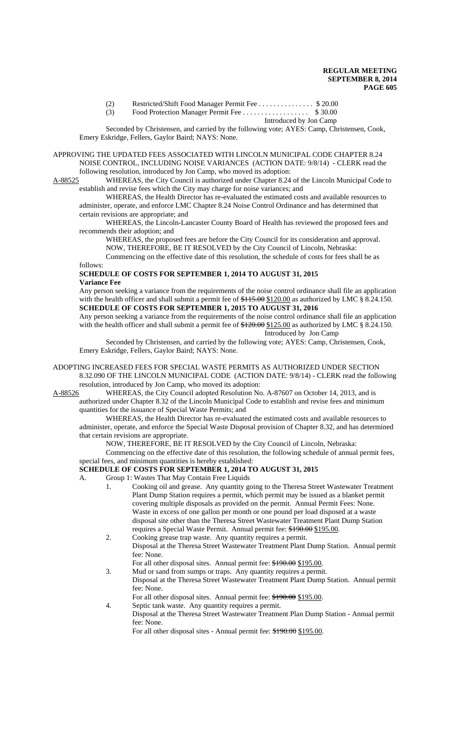(2) Restricted/Shift Food Manager Permit Fee . . . . . . . . . . . . . . . \$ 20.00

## (3) Food Protection Manager Permit Fee . . . . . . . . . . . . . . . . . . \$ 30.00

Introduced by Jon Camp

Seconded by Christensen, and carried by the following vote; AYES: Camp, Christensen, Cook, Emery Eskridge, Fellers, Gaylor Baird; NAYS: None.

### APPROVING THE UPDATED FEES ASSOCIATED WITH LINCOLN MUNICIPAL CODE CHAPTER 8.24 NOISE CONTROL, INCLUDING NOISE VARIANCES (ACTION DATE: 9/8/14) - CLERK read the following resolution, introduced by Jon Camp, who moved its adoption:

A-88525 WHEREAS, the City Council is authorized under Chapter 8.24 of the Lincoln Municipal Code to establish and revise fees which the City may charge for noise variances; and

WHEREAS, the Health Director has re-evaluated the estimated costs and available resources to administer, operate, and enforce LMC Chapter 8.24 Noise Control Ordinance and has determined that certain revisions are appropriate; and

WHEREAS, the Lincoln-Lancaster County Board of Health has reviewed the proposed fees and recommends their adoption; and

WHEREAS, the proposed fees are before the City Council for its consideration and approval. NOW, THEREFORE, BE IT RESOLVED by the City Council of Lincoln, Nebraska:

Commencing on the effective date of this resolution, the schedule of costs for fees shall be as follows:

## **SCHEDULE OF COSTS FOR SEPTEMBER 1, 2014 TO AUGUST 31, 2015 Variance Fee**

Any person seeking a variance from the requirements of the noise control ordinance shall file an application with the health officer and shall submit a permit fee of  $$115.00 \text{ }\$120.00}$  as authorized by LMC § 8.24.150. **SCHEDULE OF COSTS FOR SEPTEMBER 1, 2015 TO AUGUST 31, 2016**

Any person seeking a variance from the requirements of the noise control ordinance shall file an application with the health officer and shall submit a permit fee of  $$120.00 \text{ }\$125.00$  as authorized by LMC § 8.24.150. Introduced by Jon Camp

Seconded by Christensen, and carried by the following vote; AYES: Camp, Christensen, Cook, Emery Eskridge, Fellers, Gaylor Baird; NAYS: None.

# ADOPTING INCREASED FEES FOR SPECIAL WASTE PERMITS AS AUTHORIZED UNDER SECTION 8.32.090 OF THE LINCOLN MUNICIPAL CODE (ACTION DATE: 9/8/14) - CLERK read the following resolution, introduced by Jon Camp, who moved its adoption:<br>A-88526 WHEREAS, the City Council adopted Resolution No

WHEREAS, the City Council adopted Resolution No. A-87607 on October 14, 2013, and is authorized under Chapter 8.32 of the Lincoln Municipal Code to establish and revise fees and minimum quantities for the issuance of Special Waste Permits; and

WHEREAS, the Health Director has re-evaluated the estimated costs and available resources to administer, operate, and enforce the Special Waste Disposal provision of Chapter 8.32, and has determined that certain revisions are appropriate.

NOW, THEREFORE, BE IT RESOLVED by the City Council of Lincoln, Nebraska:

Commencing on the effective date of this resolution, the following schedule of annual permit fees, special fees, and minimum quantities is hereby established:

## **SCHEDULE OF COSTS FOR SEPTEMBER 1, 2014 TO AUGUST 31, 2015**

A. Group 1: Wastes That May Contain Free Liquids

- 1. Cooking oil and grease. Any quantity going to the Theresa Street Wastewater Treatment Plant Dump Station requires a permit, which permit may be issued as a blanket permit covering multiple disposals as provided on the permit. Annual Permit Fees: None. Waste in excess of one gallon per month or one pound per load disposed at a waste disposal site other than the Theresa Street Wastewater Treatment Plant Dump Station requires a Special Waste Permit. Annual permit fee: \$190.00 \$195.00.
- 2. Cooking grease trap waste. Any quantity requires a permit.
- Disposal at the Theresa Street Wastewater Treatment Plant Dump Station. Annual permit fee: None.
	- For all other disposal sites. Annual permit fee: \$190.00 \$195.00.
- 3. Mud or sand from sumps or traps. Any quantity requires a permit. Disposal at the Theresa Street Wastewater Treatment Plant Dump Station. Annual permit fee: None.
	- For all other disposal sites. Annual permit fee:  $\frac{$190.00}{$195.00}$ .
- 4. Septic tank waste. Any quantity requires a permit.
	- Disposal at the Theresa Street Wastewater Treatment Plan Dump Station Annual permit fee: None.

For all other disposal sites - Annual permit fee: \$190.00 \$195.00.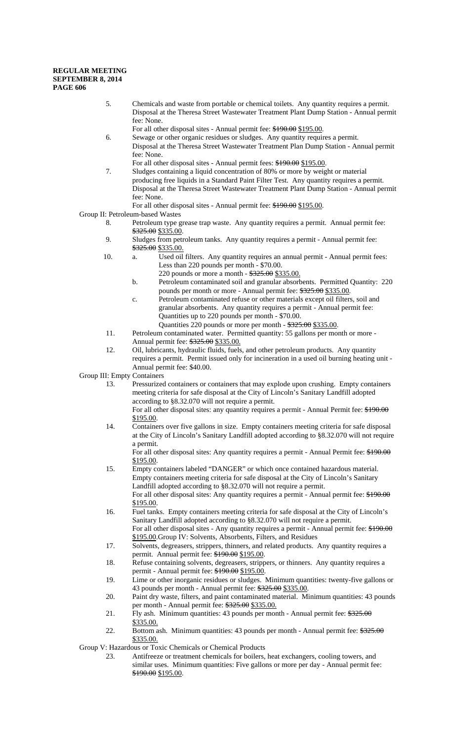- 5. Chemicals and waste from portable or chemical toilets. Any quantity requires a permit. Disposal at the Theresa Street Wastewater Treatment Plant Dump Station - Annual permit fee: None.
- For all other disposal sites Annual permit fee: \$190.00 \$195.00.
- 6. Sewage or other organic residues or sludges. Any quantity requires a permit. Disposal at the Theresa Street Wastewater Treatment Plan Dump Station - Annual permit fee: None.
- For all other disposal sites Annual permit fees: \$190.00 \$195.00.
- 7. Sludges containing a liquid concentration of 80% or more by weight or material producing free liquids in a Standard Paint Filter Test. Any quantity requires a permit. Disposal at the Theresa Street Wastewater Treatment Plant Dump Station - Annual permit fee: None.
- For all other disposal sites Annual permit fee: \$190.00 \$195.00.

## Group II: Petroleum-based Wastes

- 8. Petroleum type grease trap waste. Any quantity requires a permit. Annual permit fee: \$325.00 \$335.00.
- 9. Sludges from petroleum tanks. Any quantity requires a permit Annual permit fee: \$325.00 \$335.00.
- 10. a. Used oil filters. Any quantity requires an annual permit Annual permit fees: Less than 220 pounds per month - \$70.00.
	- 220 pounds or more a month  $325.00 \frac{$335.00}{.}$
	- b. Petroleum contaminated soil and granular absorbents. Permitted Quantity: 220 pounds per month or more - Annual permit fee: \$325.00 \$335.00.
	- c. Petroleum contaminated refuse or other materials except oil filters, soil and granular absorbents. Any quantity requires a permit - Annual permit fee: Quantities up to 220 pounds per month - \$70.00.
		- Quantities 220 pounds or more per month  $325.00$  \$335.00.
- 11. Petroleum contaminated water. Permitted quantity: 55 gallons per month or more Annual permit fee: \$325.00 \$335.00.
- 12. Oil, lubricants, hydraulic fluids, fuels, and other petroleum products. Any quantity requires a permit. Permit issued only for incineration in a used oil burning heating unit - Annual permit fee: \$40.00.

Group III: Empty Containers

13. Pressurized containers or containers that may explode upon crushing. Empty containers meeting criteria for safe disposal at the City of Lincoln's Sanitary Landfill adopted according to §8.32.070 will not require a permit.

For all other disposal sites: any quantity requires a permit - Annual Permit fee: \$190.00 \$195.00.

14. Containers over five gallons in size. Empty containers meeting criteria for safe disposal at the City of Lincoln's Sanitary Landfill adopted according to §8.32.070 will not require a permit.

For all other disposal sites: Any quantity requires a permit - Annual Permit fee: \$190.00 \$195.00.

- 15. Empty containers labeled "DANGER" or which once contained hazardous material. Empty containers meeting criteria for safe disposal at the City of Lincoln's Sanitary Landfill adopted according to §8.32.070 will not require a permit. For all other disposal sites: Any quantity requires a permit - Annual permit fee:  $*190.00$ \$195.00.
- 16. Fuel tanks. Empty containers meeting criteria for safe disposal at the City of Lincoln's Sanitary Landfill adopted according to §8.32.070 will not require a permit. For all other disposal sites - Any quantity requires a permit - Annual permit fee:  $*190.00$ \$195.00.Group IV: Solvents, Absorbents, Filters, and Residues
- 17. Solvents, degreasers, strippers, thinners, and related products. Any quantity requires a permit. Annual permit fee:  $$190.00$  \$195.00.
- 18. Refuse containing solvents, degreasers, strippers, or thinners. Any quantity requires a permit - Annual permit fee: \$190.00 \$195.00.
- 19. Lime or other inorganic residues or sludges. Minimum quantities: twenty-five gallons or 43 pounds per month - Annual permit fee: \$325.00 \$335.00.
- 20. Paint dry waste, filters, and paint contaminated material. Minimum quantities: 43 pounds per month - Annual permit fee:  $*325.00$  \$335.00.
- 21. Fly ash. Minimum quantities: 43 pounds per month Annual permit fee:  $325.00$ \$335.00.
- 22. Bottom ash. Minimum quantities: 43 pounds per month Annual permit fee:  $\frac{$325.00}{125.00}$ \$335.00.

Group V: Hazardous or Toxic Chemicals or Chemical Products

23. Antifreeze or treatment chemicals for boilers, heat exchangers, cooling towers, and similar uses. Minimum quantities: Five gallons or more per day - Annual permit fee: \$190.00 \$195.00.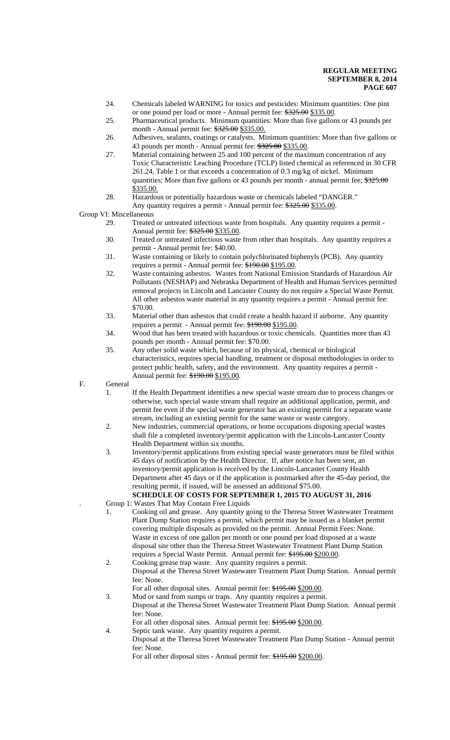- 24. Chemicals labeled WARNING for toxics and pesticides: Minimum quantities: One pint or one pound per load or more - Annual permit fee: \$325.00 \$335.00.
- 25. Pharmaceutical products. Minimum quantities: More than five gallons or 43 pounds per month - Annual permit fee: \$325.00 \$335.00.
- 26. Adhesives, sealants, coatings or catalysts. Minimum quantities: More than five gallons or 43 pounds per month - Annual permit fee: \$325.00 \$335.00.
- 27. Material containing between 25 and 100 percent of the maximum concentration of any Toxic Characteristic Leaching Procedure (TCLP) listed chemical as referenced in 30 CFR 261.24, Table 1 or that exceeds a concentration of 0.3 mg/kg of nickel. Minimum quantities: More than five gallons or 43 pounds per month - annual permit fee;  $\frac{2325.00}{7}$ \$335.00.
- 28. Hazardous or potentially hazardous waste or chemicals labeled "DANGER." Any quantity requires a permit - Annual permit fee: \$325.00 \$335.00.

Group VI: Miscellaneous

- 29. Treated or untreated infectious waste from hospitals. Any quantity requires a permit Annual permit fee: \$325.00 \$335.00.
- 30. Treated or untreated infectious waste from other than hospitals. Any quantity requires a permit - Annual permit fee: \$40.00.
- 31. Waste containing or likely to contain polychlorinated biphenyls (PCB). Any quantity requires a permit - Annual permit fee: \$190.00 \$195.00.
- 32. Waste containing asbestos. Wastes from National Emission Standards of Hazardous Air Pollutants (NESHAP) and Nebraska Department of Health and Human Services permitted removal projects in Lincoln and Lancaster County do not require a Special Waste Permit. All other asbestos waste material in any quantity requires a permit - Annual permit fee: \$70.00.
- 33. Material other than asbestos that could create a health hazard if airborne. Any quantity requires a permit - Annual permit fee: \$190.00 \$195.00.
- 34. Wood that has been treated with hazardous or toxic chemicals. Quantities more than 43 pounds per month - Annual permit fee: \$70.00.
- 35. Any other solid waste which, because of its physical, chemical or biological characteristics, requires special handling, treatment or disposal methodologies in order to protect public health, safety, and the environment. Any quantity requires a permit - Annual permit fee: \$190.00 \$195.00.

F. General

- 1. If the Health Department identifies a new special waste stream due to process changes or otherwise, such special waste stream shall require an additional application, permit, and permit fee even if the special waste generator has an existing permit for a separate waste stream, including an existing permit for the same waste or waste category.
- 2. New industries, commercial operations, or home occupations disposing special wastes shall file a completed inventory/permit application with the Lincoln-Lancaster County Health Department within six months.
- 3. Inventory/permit applications from existing special waste generators must be filed within 45 days of notification by the Health Director. If, after notice has been sent, an inventory/permit application is received by the Lincoln-Lancaster County Health Department after 45 days or if the application is postmarked after the 45-day period, the resulting permit, if issued, will be assessed an additional \$75.00.
- **SCHEDULE OF COSTS FOR SEPTEMBER 1, 2015 TO AUGUST 31, 2016** . Group 1: Wastes That May Contain Free Liquids
- 1. Cooking oil and grease. Any quantity going to the Theresa Street Wastewater Treatment Plant Dump Station requires a permit, which permit may be issued as a blanket permit covering multiple disposals as provided on the permit. Annual Permit Fees: None. Waste in excess of one gallon per month or one pound per load disposed at a waste disposal site other than the Theresa Street Wastewater Treatment Plant Dump Station requires a Special Waste Permit. Annual permit fee: \$195.00 \$200.00.
- 2. Cooking grease trap waste. Any quantity requires a permit. Disposal at the Theresa Street Wastewater Treatment Plant Dump Station. Annual permit fee: None.
	- For all other disposal sites. Annual permit fee: \$195.00 \$200.00.
- 3. Mud or sand from sumps or traps. Any quantity requires a permit. Disposal at the Theresa Street Wastewater Treatment Plant Dump Station. Annual permit fee: None.

For all other disposal sites. Annual permit fee: \$195.00 \$200.00.

- 4. Septic tank waste. Any quantity requires a permit.
	- Disposal at the Theresa Street Wastewater Treatment Plan Dump Station Annual permit fee: None.

For all other disposal sites - Annual permit fee: \$195.00 \$200.00.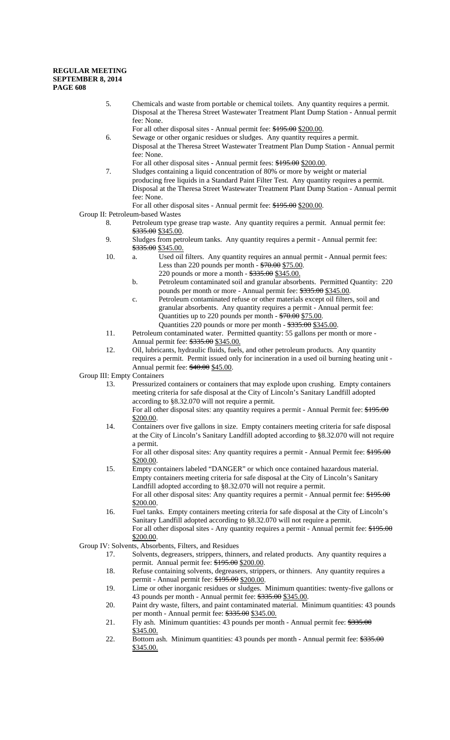- 5. Chemicals and waste from portable or chemical toilets. Any quantity requires a permit. Disposal at the Theresa Street Wastewater Treatment Plant Dump Station - Annual permit fee: None.
- For all other disposal sites Annual permit fee: \$195.00 \$200.00.
- 6. Sewage or other organic residues or sludges. Any quantity requires a permit. Disposal at the Theresa Street Wastewater Treatment Plan Dump Station - Annual permit fee: None.
- For all other disposal sites Annual permit fees: \$195.00 \$200.00.
- 7. Sludges containing a liquid concentration of 80% or more by weight or material producing free liquids in a Standard Paint Filter Test. Any quantity requires a permit. Disposal at the Theresa Street Wastewater Treatment Plant Dump Station - Annual permit fee: None.
- For all other disposal sites Annual permit fee: \$195.00 \$200.00.

## Group II: Petroleum-based Wastes

- 8. Petroleum type grease trap waste. Any quantity requires a permit. Annual permit fee: \$335.00 \$345.00.
- 9. Sludges from petroleum tanks. Any quantity requires a permit Annual permit fee: \$335.00 \$345.00.
- 10. a. Used oil filters. Any quantity requires an annual permit Annual permit fees: Less than 220 pounds per month -  $70.00$  \$75.00.
	- 220 pounds or more a month \$335.00 \$345.00. b. Petroleum contaminated soil and granular absorbents. Permitted Quantity: 220 pounds per month or more - Annual permit fee: \$335.00 \$345.00.
	- c. Petroleum contaminated refuse or other materials except oil filters, soil and granular absorbents. Any quantity requires a permit - Annual permit fee: Quantities up to 220 pounds per month - \$70.00 \$75.00.
- Quantities 220 pounds or more per month \$335.00 \$345.00. 11. Petroleum contaminated water. Permitted quantity: 55 gallons per month or more - Annual permit fee: \$335.00 \$345.00.
- 12. Oil, lubricants, hydraulic fluids, fuels, and other petroleum products. Any quantity requires a permit. Permit issued only for incineration in a used oil burning heating unit - Annual permit fee:  $$40.00$  \$45.00.

Group III: Empty Containers

13. Pressurized containers or containers that may explode upon crushing. Empty containers meeting criteria for safe disposal at the City of Lincoln's Sanitary Landfill adopted according to §8.32.070 will not require a permit.

14. Containers over five gallons in size. Empty containers meeting criteria for safe disposal at the City of Lincoln's Sanitary Landfill adopted according to §8.32.070 will not require a permit.

For all other disposal sites: Any quantity requires a permit - Annual Permit fee: \$195.00 \$200.00.

- 15. Empty containers labeled "DANGER" or which once contained hazardous material. Empty containers meeting criteria for safe disposal at the City of Lincoln's Sanitary Landfill adopted according to §8.32.070 will not require a permit. For all other disposal sites: Any quantity requires a permit - Annual permit fee:  $$195.00$ \$200.00.
- 16. Fuel tanks. Empty containers meeting criteria for safe disposal at the City of Lincoln's Sanitary Landfill adopted according to §8.32.070 will not require a permit. For all other disposal sites - Any quantity requires a permit - Annual permit fee: \$195.00 \$200.00.
- Group IV: Solvents, Absorbents, Filters, and Residues
	- 17. Solvents, degreasers, strippers, thinners, and related products. Any quantity requires a permit. Annual permit fee: \$195.00 \$200.00.
	- 18. Refuse containing solvents, degreasers, strippers, or thinners. Any quantity requires a permit - Annual permit fee: \$195.00 \$200.00.
	- 19. Lime or other inorganic residues or sludges. Minimum quantities: twenty-five gallons or 43 pounds per month - Annual permit fee:  $\frac{$335.00}{$345.00}$ .
	- 20. Paint dry waste, filters, and paint contaminated material. Minimum quantities: 43 pounds per month - Annual permit fee: \$335.00 \$345.00.
	- 21. Fly ash. Minimum quantities: 43 pounds per month Annual permit fee: \$335.00 \$345.00.
	- 22. Bottom ash. Minimum quantities: 43 pounds per month Annual permit fee:  $\frac{$335.00}{5}$ \$345.00.

For all other disposal sites: any quantity requires a permit - Annual Permit fee: \$195.00 \$200.00.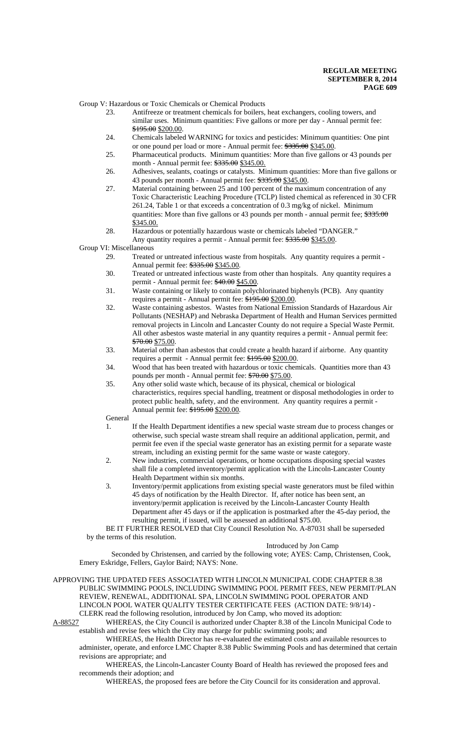Group V: Hazardous or Toxic Chemicals or Chemical Products

- 23. Antifreeze or treatment chemicals for boilers, heat exchangers, cooling towers, and similar uses. Minimum quantities: Five gallons or more per day - Annual permit fee: \$195.00 \$200.00.
- 24. Chemicals labeled WARNING for toxics and pesticides: Minimum quantities: One pint or one pound per load or more - Annual permit fee: \$335.00 \$345.00.
- 25. Pharmaceutical products. Minimum quantities: More than five gallons or 43 pounds per month - Annual permit fee:  $$335.00$  \$345.00.
- 26. Adhesives, sealants, coatings or catalysts. Minimum quantities: More than five gallons or 43 pounds per month - Annual permit fee: \$335.00 \$345.00.
- 27. Material containing between 25 and 100 percent of the maximum concentration of any Toxic Characteristic Leaching Procedure (TCLP) listed chemical as referenced in 30 CFR 261.24, Table 1 or that exceeds a concentration of 0.3 mg/kg of nickel. Minimum quantities: More than five gallons or 43 pounds per month - annual permit fee;  $\frac{$335.00}{9}$ \$345.00.
- 28. Hazardous or potentially hazardous waste or chemicals labeled "DANGER." Any quantity requires a permit - Annual permit fee: \$335.00 \$345.00.

Group VI: Miscellaneous

- 29. Treated or untreated infectious waste from hospitals. Any quantity requires a permit Annual permit fee: \$335.00 \$345.00.
- 30. Treated or untreated infectious waste from other than hospitals. Any quantity requires a permit - Annual permit fee:  $$40.00$  \$45.00.
- 31. Waste containing or likely to contain polychlorinated biphenyls (PCB). Any quantity requires a permit - Annual permit fee: \$195.00 \$200.00.
- 32. Waste containing asbestos. Wastes from National Emission Standards of Hazardous Air Pollutants (NESHAP) and Nebraska Department of Health and Human Services permitted removal projects in Lincoln and Lancaster County do not require a Special Waste Permit. All other asbestos waste material in any quantity requires a permit - Annual permit fee: \$70.00 \$75.00.
- 33. Material other than asbestos that could create a health hazard if airborne. Any quantity requires a permit - Annual permit fee: \$195.00 \$200.00.
- 34. Wood that has been treated with hazardous or toxic chemicals. Quantities more than 43 pounds per month - Annual permit fee: \$70.00 \$75.00.
- 35. Any other solid waste which, because of its physical, chemical or biological characteristics, requires special handling, treatment or disposal methodologies in order to protect public health, safety, and the environment. Any quantity requires a permit - Annual permit fee: \$195.00 \$200.00.

General

- 1. If the Health Department identifies a new special waste stream due to process changes or otherwise, such special waste stream shall require an additional application, permit, and permit fee even if the special waste generator has an existing permit for a separate waste stream, including an existing permit for the same waste or waste category.
- 2. New industries, commercial operations, or home occupations disposing special wastes shall file a completed inventory/permit application with the Lincoln-Lancaster County Health Department within six months.
- 3. Inventory/permit applications from existing special waste generators must be filed within 45 days of notification by the Health Director. If, after notice has been sent, an inventory/permit application is received by the Lincoln-Lancaster County Health Department after 45 days or if the application is postmarked after the 45-day period, the resulting permit, if issued, will be assessed an additional \$75.00.

BE IT FURTHER RESOLVED that City Council Resolution No. A-87031 shall be superseded by the terms of this resolution.

### Introduced by Jon Camp

 Seconded by Christensen, and carried by the following vote; AYES: Camp, Christensen, Cook, Emery Eskridge, Fellers, Gaylor Baird; NAYS: None.

APPROVING THE UPDATED FEES ASSOCIATED WITH LINCOLN MUNICIPAL CODE CHAPTER 8.38 PUBLIC SWIMMING POOLS, INCLUDING SWIMMING POOL PERMIT FEES, NEW PERMIT/PLAN REVIEW, RENEWAL, ADDITIONAL SPA, LINCOLN SWIMMING POOL OPERATOR AND LINCOLN POOL WATER QUALITY TESTER CERTIFICATE FEES (ACTION DATE: 9/8/14) - CLERK read the following resolution, introduced by Jon Camp, who moved its adoption:

A-88527 WHEREAS, the City Council is authorized under Chapter 8.38 of the Lincoln Municipal Code to establish and revise fees which the City may charge for public swimming pools; and

WHEREAS, the Health Director has re-evaluated the estimated costs and available resources to administer, operate, and enforce LMC Chapter 8.38 Public Swimming Pools and has determined that certain revisions are appropriate; and

WHEREAS, the Lincoln-Lancaster County Board of Health has reviewed the proposed fees and recommends their adoption; and

WHEREAS, the proposed fees are before the City Council for its consideration and approval.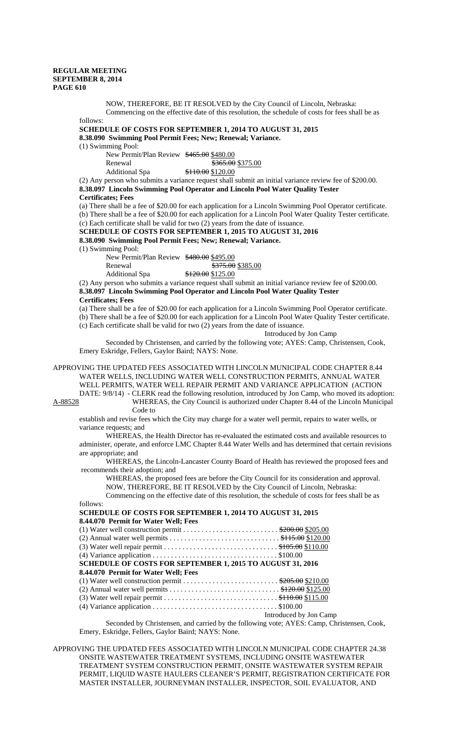NOW, THEREFORE, BE IT RESOLVED by the City Council of Lincoln, Nebraska: Commencing on the effective date of this resolution, the schedule of costs for fees shall be as

follows: **SCHEDULE OF COSTS FOR SEPTEMBER 1, 2014 TO AUGUST 31, 2015 8.38.090 Swimming Pool Permit Fees; New; Renewal; Variance.**

(1) Swimming Pool:

New Permit/Plan Review \$465.00 \$480.00 Renewal \$365.00 \$375.00

| <i>iware war</i> |                   | 9.00.00 |
|------------------|-------------------|---------|
| Additional Spa   | \$110.00 \$120.00 |         |

(2) Any person who submits a variance request shall submit an initial variance review fee of \$200.00. **8.38.097 Lincoln Swimming Pool Operator and Lincoln Pool Water Quality Tester Certificates; Fees**

(a) There shall be a fee of \$20.00 for each application for a Lincoln Swimming Pool Operator certificate. (b) There shall be a fee of \$20.00 for each application for a Lincoln Pool Water Quality Tester certificate. (c) Each certificate shall be valid for two (2) years from the date of issuance.

**SCHEDULE OF COSTS FOR SEPTEMBER 1, 2015 TO AUGUST 31, 2016**

**8.38.090 Swimming Pool Permit Fees; New; Renewal; Variance.**

(1) Swimming Pool:

New Permit/Plan Review \$480.00 \$495.00

Renewal \$375.00 \$385.00

Additional Spa  $\frac{$120.00}{$125.00}$ 

(2) Any person who submits a variance request shall submit an initial variance review fee of \$200.00. **8.38.097 Lincoln Swimming Pool Operator and Lincoln Pool Water Quality Tester Certificates; Fees**

(a) There shall be a fee of \$20.00 for each application for a Lincoln Swimming Pool Operator certificate.

(b) There shall be a fee of \$20.00 for each application for a Lincoln Pool Water Quality Tester certificate.

(c) Each certificate shall be valid for two (2) years from the date of issuance.

Introduced by Jon Camp

Seconded by Christensen, and carried by the following vote; AYES: Camp, Christensen, Cook, Emery Eskridge, Fellers, Gaylor Baird; NAYS: None.

APPROVING THE UPDATED FEES ASSOCIATED WITH LINCOLN MUNICIPAL CODE CHAPTER 8.44 WATER WELLS, INCLUDING WATER WELL CONSTRUCTION PERMITS, ANNUAL WATER WELL PERMITS, WATER WELL REPAIR PERMIT AND VARIANCE APPLICATION (ACTION DATE: 9/8/14) - CLERK read the following resolution, introduced by Jon Camp, who moved its adoption:

A-88528 WHEREAS, the City Council is authorized under Chapter 8.44 of the Lincoln Municipal Code to

establish and revise fees which the City may charge for a water well permit, repairs to water wells, or variance requests; and

WHEREAS, the Health Director has re-evaluated the estimated costs and available resources to administer, operate, and enforce LMC Chapter 8.44 Water Wells and has determined that certain revisions are appropriate; and

WHEREAS, the Lincoln-Lancaster County Board of Health has reviewed the proposed fees and recommends their adoption; and

WHEREAS, the proposed fees are before the City Council for its consideration and approval. NOW, THEREFORE, BE IT RESOLVED by the City Council of Lincoln, Nebraska:

Commencing on the effective date of this resolution, the schedule of costs for fees shall be as follows:

| <b>SCHEDULE OF COSTS FOR SEPTEMBER 1, 2014 TO AUGUST 31, 2015</b> |                        |
|-------------------------------------------------------------------|------------------------|
| 8.44.070 Permit for Water Well; Fees                              |                        |
|                                                                   |                        |
|                                                                   |                        |
|                                                                   |                        |
|                                                                   |                        |
| <b>SCHEDULE OF COSTS FOR SEPTEMBER 1, 2015 TO AUGUST 31, 2016</b> |                        |
| 8.44.070 Permit for Water Well; Fees                              |                        |
|                                                                   |                        |
|                                                                   |                        |
|                                                                   |                        |
|                                                                   |                        |
|                                                                   | Introduced by Jon Camp |
|                                                                   |                        |

Seconded by Christensen, and carried by the following vote; AYES: Camp, Christensen, Cook, Emery, Eskridge, Fellers, Gaylor Baird; NAYS: None.

APPROVING THE UPDATED FEES ASSOCIATED WITH LINCOLN MUNICIPAL CODE CHAPTER 24.38 ONSITE WASTEWATER TREATMENT SYSTEMS, INCLUDING ONSITE WASTEWATER TREATMENT SYSTEM CONSTRUCTION PERMIT, ONSITE WASTEWATER SYSTEM REPAIR PERMIT, LIQUID WASTE HAULERS CLEANER'S PERMIT, REGISTRATION CERTIFICATE FOR MASTER INSTALLER, JOURNEYMAN INSTALLER, INSPECTOR, SOIL EVALUATOR, AND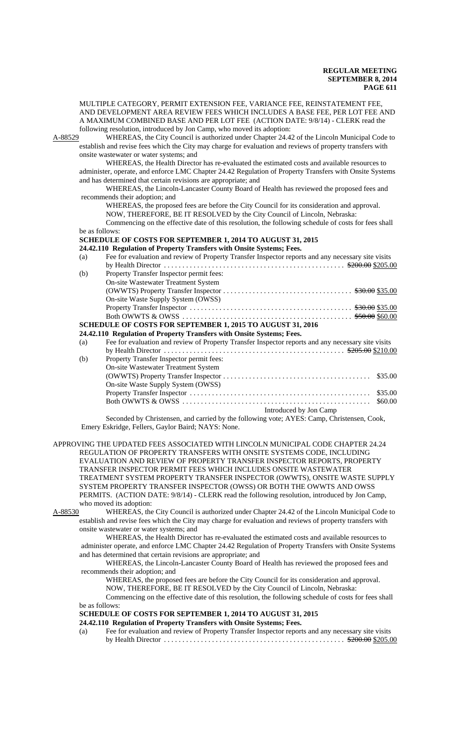MULTIPLE CATEGORY, PERMIT EXTENSION FEE, VARIANCE FEE, REINSTATEMENT FEE, AND DEVELOPMENT AREA REVIEW FEES WHICH INCLUDES A BASE FEE, PER LOT FEE AND A MAXIMUM COMBINED BASE AND PER LOT FEE (ACTION DATE: 9/8/14) - CLERK read the

following resolution, introduced by Jon Camp, who moved its adoption:<br>A-88529 WHEREAS, the City Council is authorized under Chapter 24.4 WHEREAS, the City Council is authorized under Chapter 24.42 of the Lincoln Municipal Code to establish and revise fees which the City may charge for evaluation and reviews of property transfers with onsite wastewater or water systems; and

WHEREAS, the Health Director has re-evaluated the estimated costs and available resources to administer, operate, and enforce LMC Chapter 24.42 Regulation of Property Transfers with Onsite Systems and has determined that certain revisions are appropriate; and

WHEREAS, the Lincoln-Lancaster County Board of Health has reviewed the proposed fees and recommends their adoption; and

WHEREAS, the proposed fees are before the City Council for its consideration and approval. NOW, THEREFORE, BE IT RESOLVED by the City Council of Lincoln, Nebraska:

Commencing on the effective date of this resolution, the following schedule of costs for fees shall be as follows:

## **SCHEDULE OF COSTS FOR SEPTEMBER 1, 2014 TO AUGUST 31, 2015**

## **24.42.110 Regulation of Property Transfers with Onsite Systems; Fees.**

| (a)                                                        | Fee for evaluation and review of Property Transfer Inspector reports and any necessary site visits |  |  |  |
|------------------------------------------------------------|----------------------------------------------------------------------------------------------------|--|--|--|
|                                                            |                                                                                                    |  |  |  |
| (b)                                                        | Property Transfer Inspector permit fees:                                                           |  |  |  |
|                                                            | <b>On-site Wastewater Treatment System</b>                                                         |  |  |  |
|                                                            |                                                                                                    |  |  |  |
|                                                            | On-site Waste Supply System (OWSS)                                                                 |  |  |  |
|                                                            |                                                                                                    |  |  |  |
|                                                            |                                                                                                    |  |  |  |
| SCHEDULE OF COSTS FOR SEPTEMBER 1, 2015 TO AUGUST 31, 2016 |                                                                                                    |  |  |  |
|                                                            | 24.42.110 Regulation of Property Transfers with Onsite Systems; Fees.                              |  |  |  |
| (a)                                                        | Fee for evaluation and review of Property Transfer Inspector reports and any necessary site visits |  |  |  |
|                                                            |                                                                                                    |  |  |  |
| (b)                                                        | Property Transfer Inspector permit fees:                                                           |  |  |  |
|                                                            | On-site Wastewater Treatment System                                                                |  |  |  |
|                                                            | \$35.00                                                                                            |  |  |  |
|                                                            | On-site Waste Supply System (OWSS)                                                                 |  |  |  |
|                                                            | \$35.00                                                                                            |  |  |  |
|                                                            | \$60.00                                                                                            |  |  |  |
|                                                            | Introduced by Jon Camp                                                                             |  |  |  |

Seconded by Christensen, and carried by the following vote; AYES: Camp, Christensen, Cook, Emery Eskridge, Fellers, Gaylor Baird; NAYS: None.

APPROVING THE UPDATED FEES ASSOCIATED WITH LINCOLN MUNICIPAL CODE CHAPTER 24.24 REGULATION OF PROPERTY TRANSFERS WITH ONSITE SYSTEMS CODE, INCLUDING EVALUATION AND REVIEW OF PROPERTY TRANSFER INSPECTOR REPORTS, PROPERTY TRANSFER INSPECTOR PERMIT FEES WHICH INCLUDES ONSITE WASTEWATER TREATMENT SYSTEM PROPERTY TRANSFER INSPECTOR (OWWTS), ONSITE WASTE SUPPLY SYSTEM PROPERTY TRANSFER INSPECTOR (OWSS) OR BOTH THE OWWTS AND OWSS PERMITS. (ACTION DATE: 9/8/14) - CLERK read the following resolution, introduced by Jon Camp, who moved its adoption:<br>A-88530 WHEREAS. the

WHEREAS, the City Council is authorized under Chapter 24.42 of the Lincoln Municipal Code to establish and revise fees which the City may charge for evaluation and reviews of property transfers with onsite wastewater or water systems; and

WHEREAS, the Health Director has re-evaluated the estimated costs and available resources to administer operate, and enforce LMC Chapter 24.42 Regulation of Property Transfers with Onsite Systems and has determined that certain revisions are appropriate; and

WHEREAS, the Lincoln-Lancaster County Board of Health has reviewed the proposed fees and recommends their adoption; and

WHEREAS, the proposed fees are before the City Council for its consideration and approval. NOW, THEREFORE, BE IT RESOLVED by the City Council of Lincoln, Nebraska:

Commencing on the effective date of this resolution, the following schedule of costs for fees shall be as follows:

## **SCHEDULE OF COSTS FOR SEPTEMBER 1, 2014 TO AUGUST 31, 2015**

**24.42.110 Regulation of Property Transfers with Onsite Systems; Fees.**

(a) Fee for evaluation and review of Property Transfer Inspector reports and any necessary site visits by Health Director . . . . . . . . . . . . . . . . . . . . . . . . . . . . . . . . . . . . . . . . . . . . . . . . . \$200.00 \$205.00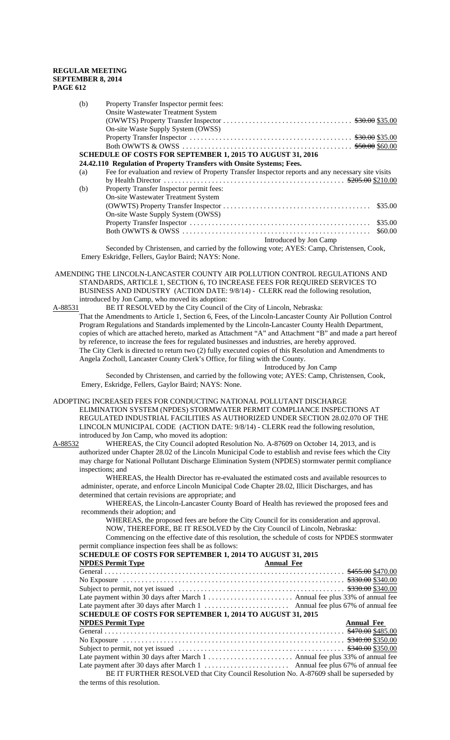| (b) | Property Transfer Inspector permit fees:                                                           |
|-----|----------------------------------------------------------------------------------------------------|
|     | <b>Onsite Wastewater Treatment System</b>                                                          |
|     |                                                                                                    |
|     | On-site Waste Supply System (OWSS)                                                                 |
|     |                                                                                                    |
|     |                                                                                                    |
|     | <b>SCHEDULE OF COSTS FOR SEPTEMBER 1, 2015 TO AUGUST 31, 2016</b>                                  |
|     | 24.42.110 Regulation of Property Transfers with Onsite Systems; Fees.                              |
| (a) | Fee for evaluation and review of Property Transfer Inspector reports and any necessary site visits |
|     |                                                                                                    |
| (b) | Property Transfer Inspector permit fees:                                                           |
|     | On-site Wastewater Treatment System                                                                |
|     | \$35.00                                                                                            |
|     | On-site Waste Supply System (OWSS)                                                                 |
|     | \$35.00                                                                                            |
|     | \$60.00                                                                                            |
|     | Introduced by Jon Camp                                                                             |
|     | Seconded by Christensen, and carried by the following vote: $\Delta VFS$ Camp, Christensen, Cook   |

y the following vote; AYES: Camp, Christensen, Cook, Emery Eskridge, Fellers, Gaylor Baird; NAYS: None.

 AMENDING THE LINCOLN-LANCASTER COUNTY AIR POLLUTION CONTROL REGULATIONS AND STANDARDS, ARTICLE 1, SECTION 6, TO INCREASE FEES FOR REQUIRED SERVICES TO BUSINESS AND INDUSTRY (ACTION DATE: 9/8/14) - CLERK read the following resolution, introduced by Jon Camp, who moved its adoption:

A-88531 BE IT RESOLVED by the City Council of the City of Lincoln, Nebraska: That the Amendments to Article 1, Section 6, Fees, of the Lincoln-Lancaster County Air Pollution Control Program Regulations and Standards implemented by the Lincoln-Lancaster County Health Department, copies of which are attached hereto, marked as Attachment "A" and Attachment "B" and made a part hereof by reference, to increase the fees for regulated businesses and industries, are hereby approved. The City Clerk is directed to return two (2) fully executed copies of this Resolution and Amendments to Angela Zocholl, Lancaster County Clerk's Office, for filing with the County.

Introduced by Jon Camp Seconded by Christensen, and carried by the following vote; AYES: Camp, Christensen, Cook, Emery, Eskridge, Fellers, Gaylor Baird; NAYS: None.

#### ADOPTING INCREASED FEES FOR CONDUCTING NATIONAL POLLUTANT DISCHARGE

ELIMINATION SYSTEM (NPDES) STORMWATER PERMIT COMPLIANCE INSPECTIONS AT REGULATED INDUSTRIAL FACILITIES AS AUTHORIZED UNDER SECTION 28.02.070 OF THE LINCOLN MUNICIPAL CODE (ACTION DATE: 9/8/14) - CLERK read the following resolution, introduced by Jon Camp, who moved its adoption:

A-88532 WHEREAS, the City Council adopted Resolution No. A-87609 on October 14, 2013, and is authorized under Chapter 28.02 of the Lincoln Municipal Code to establish and revise fees which the City may charge for National Pollutant Discharge Elimination System (NPDES) stormwater permit compliance inspections; and

WHEREAS, the Health Director has re-evaluated the estimated costs and available resources to administer, operate, and enforce Lincoln Municipal Code Chapter 28.02, Illicit Discharges, and has determined that certain revisions are appropriate; and

WHEREAS, the Lincoln-Lancaster County Board of Health has reviewed the proposed fees and recommends their adoption; and

WHEREAS, the proposed fees are before the City Council for its consideration and approval. NOW, THEREFORE, BE IT RESOLVED by the City Council of Lincoln, Nebraska: Commencing on the effective date of this resolution, the schedule of costs for NPDES stormwater permit compliance inspection fees shall be as follows:

| permit compliance inspection rees shall be as follows.                                 |                   |  |  |  |
|----------------------------------------------------------------------------------------|-------------------|--|--|--|
| <b>SCHEDULE OF COSTS FOR SEPTEMBER 1, 2014 TO AUGUST 31, 2015</b>                      |                   |  |  |  |
| <b>NPDES Permit Type</b>                                                               | <b>Annual Fee</b> |  |  |  |
|                                                                                        |                   |  |  |  |
|                                                                                        |                   |  |  |  |
|                                                                                        |                   |  |  |  |
|                                                                                        |                   |  |  |  |
|                                                                                        |                   |  |  |  |
| <b>SCHEDULE OF COSTS FOR SEPTEMBER 1, 2014 TO AUGUST 31, 2015</b>                      |                   |  |  |  |
| <b>NPDES Permit Type</b>                                                               | <b>Annual Fee</b> |  |  |  |
|                                                                                        |                   |  |  |  |
|                                                                                        |                   |  |  |  |
|                                                                                        |                   |  |  |  |
|                                                                                        |                   |  |  |  |
|                                                                                        |                   |  |  |  |
| BE IT FURTHER RESOLVED that City Council Resolution No. A-87609 shall be superseded by |                   |  |  |  |
| the terms of this resolution.                                                          |                   |  |  |  |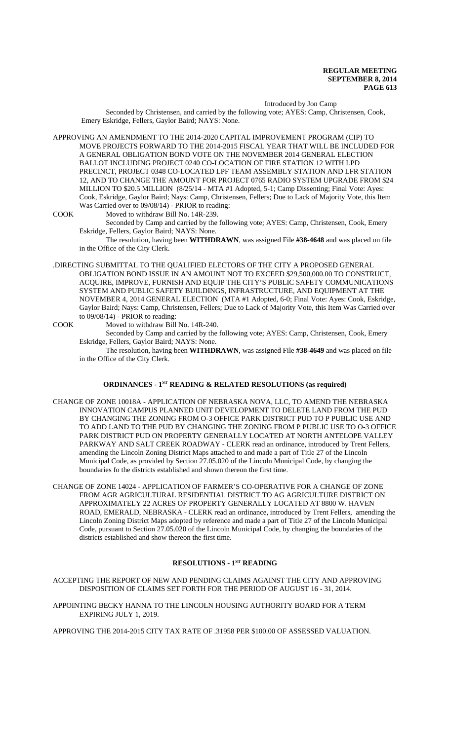Introduced by Jon Camp

Seconded by Christensen, and carried by the following vote; AYES: Camp, Christensen, Cook, Emery Eskridge, Fellers, Gaylor Baird; NAYS: None.

APPROVING AN AMENDMENT TO THE 2014-2020 CAPITAL IMPROVEMENT PROGRAM (CIP) TO MOVE PROJECTS FORWARD TO THE 2014-2015 FISCAL YEAR THAT WILL BE INCLUDED FOR A GENERAL OBLIGATION BOND VOTE ON THE NOVEMBER 2014 GENERAL ELECTION BALLOT INCLUDING PROJECT 0240 CO-LOCATION OF FIRE STATION 12 WITH LPD PRECINCT, PROJECT 0348 CO-LOCATED LPF TEAM ASSEMBLY STATION AND LFR STATION 12, AND TO CHANGE THE AMOUNT FOR PROJECT 0765 RADIO SYSTEM UPGRADE FROM \$24 MILLION TO \$20.5 MILLION (8/25/14 - MTA #1 Adopted, 5-1; Camp Dissenting; Final Vote: Ayes: Cook, Eskridge, Gaylor Baird; Nays: Camp, Christensen, Fellers; Due to Lack of Majority Vote, this Item Was Carried over to 09/08/14) - PRIOR to reading:

COOK Moved to withdraw Bill No. 14R-239.

Seconded by Camp and carried by the following vote; AYES: Camp, Christensen, Cook, Emery Eskridge, Fellers, Gaylor Baird; NAYS: None.

The resolution, having been **WITHDRAWN**, was assigned File **#38-4648** and was placed on file in the Office of the City Clerk.

- .DIRECTING SUBMITTAL TO THE QUALIFIED ELECTORS OF THE CITY A PROPOSED GENERAL OBLIGATION BOND ISSUE IN AN AMOUNT NOT TO EXCEED \$29,500,000.00 TO CONSTRUCT, ACQUIRE, IMPROVE, FURNISH AND EQUIP THE CITY'S PUBLIC SAFETY COMMUNICATIONS SYSTEM AND PUBLIC SAFETY BUILDINGS, INFRASTRUCTURE, AND EQUIPMENT AT THE NOVEMBER 4, 2014 GENERAL ELECTION (MTA #1 Adopted, 6-0; Final Vote: Ayes: Cook, Eskridge, Gaylor Baird; Nays: Camp, Christensen, Fellers; Due to Lack of Majority Vote, this Item Was Carried over to 09/08/14) - PRIOR to reading:
- COOK Moved to withdraw Bill No. 14R-240.

Seconded by Camp and carried by the following vote; AYES: Camp, Christensen, Cook, Emery Eskridge, Fellers, Gaylor Baird; NAYS: None.

The resolution, having been **WITHDRAWN**, was assigned File **#38-4649** and was placed on file in the Office of the City Clerk.

## **ORDINANCES - 1<sup>ST</sup> READING & RELATED RESOLUTIONS (as required)**

- CHANGE OF ZONE 10018A APPLICATION OF NEBRASKA NOVA, LLC, TO AMEND THE NEBRASKA INNOVATION CAMPUS PLANNED UNIT DEVELOPMENT TO DELETE LAND FROM THE PUD BY CHANGING THE ZONING FROM O-3 OFFICE PARK DISTRICT PUD TO P PUBLIC USE AND TO ADD LAND TO THE PUD BY CHANGING THE ZONING FROM P PUBLIC USE TO O-3 OFFICE PARK DISTRICT PUD ON PROPERTY GENERALLY LOCATED AT NORTH ANTELOPE VALLEY PARKWAY AND SALT CREEK ROADWAY - CLERK read an ordinance, introduced by Trent Fellers, amending the Lincoln Zoning District Maps attached to and made a part of Title 27 of the Lincoln Municipal Code, as provided by Section 27.05.020 of the Lincoln Municipal Code, by changing the boundaries fo the districts established and shown thereon the first time.
- CHANGE OF ZONE 14024 APPLICATION OF FARMER'S CO-OPERATIVE FOR A CHANGE OF ZONE FROM AGR AGRICULTURAL RESIDENTIAL DISTRICT TO AG AGRICULTURE DISTRICT ON APPROXIMATELY 22 ACRES OF PROPERTY GENERALLY LOCATED AT 8800 W. HAVEN ROAD, EMERALD, NEBRASKA - CLERK read an ordinance, introduced by Trent Fellers, amending the Lincoln Zoning District Maps adopted by reference and made a part of Title 27 of the Lincoln Municipal Code, pursuant to Section 27.05.020 of the Lincoln Municipal Code, by changing the boundaries of the districts established and show thereon the first time.

## **RESOLUTIONS - 1ST READING**

ACCEPTING THE REPORT OF NEW AND PENDING CLAIMS AGAINST THE CITY AND APPROVING DISPOSITION OF CLAIMS SET FORTH FOR THE PERIOD OF AUGUST 16 - 31, 2014.

APPOINTING BECKY HANNA TO THE LINCOLN HOUSING AUTHORITY BOARD FOR A TERM EXPIRING JULY 1, 2019.

APPROVING THE 2014-2015 CITY TAX RATE OF .31958 PER \$100.00 OF ASSESSED VALUATION.